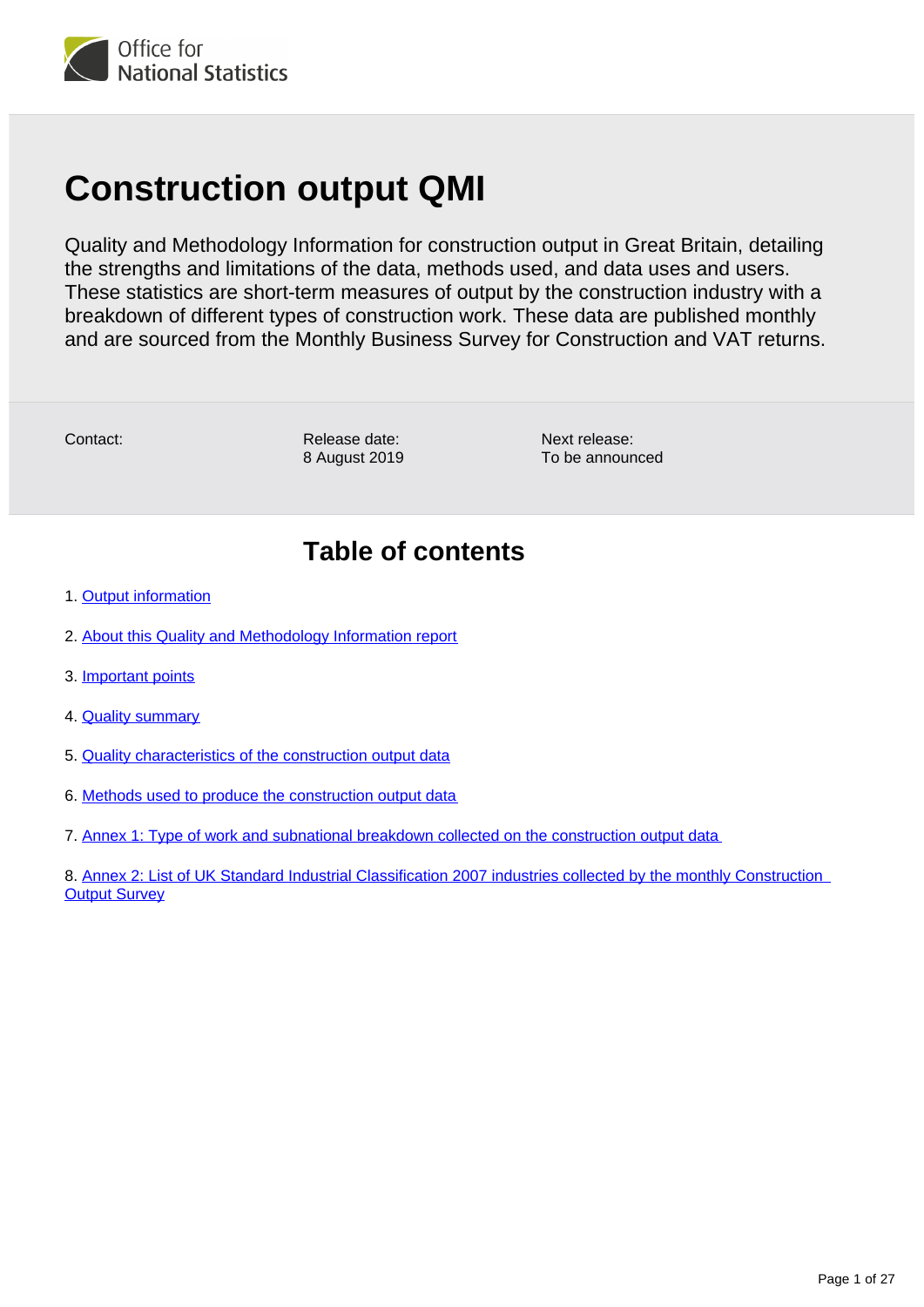

# **Construction output QMI**

Quality and Methodology Information for construction output in Great Britain, detailing the strengths and limitations of the data, methods used, and data uses and users. These statistics are short-term measures of output by the construction industry with a breakdown of different types of construction work. These data are published monthly and are sourced from the Monthly Business Survey for Construction and VAT returns.

Contact:

Release date: 8 August 2019 Next release: To be announced

# **Table of contents**

- 1. [Output information](#page-1-0)
- 2. [About this Quality and Methodology Information report](#page-1-1)
- 3. [Important points](#page-1-2)
- 4. [Quality summary](#page-2-0)
- 5. [Quality characteristics of the construction output data](#page-6-0)
- 6. [Methods used to produce the construction output data](#page-14-0)
- 7. [Annex 1: Type of work and subnational breakdown collected on the construction output data](#page-23-0)

8. [Annex 2: List of UK Standard Industrial Classification 2007 industries collected by the monthly Construction](#page-25-0)  **[Output Survey](#page-25-0)**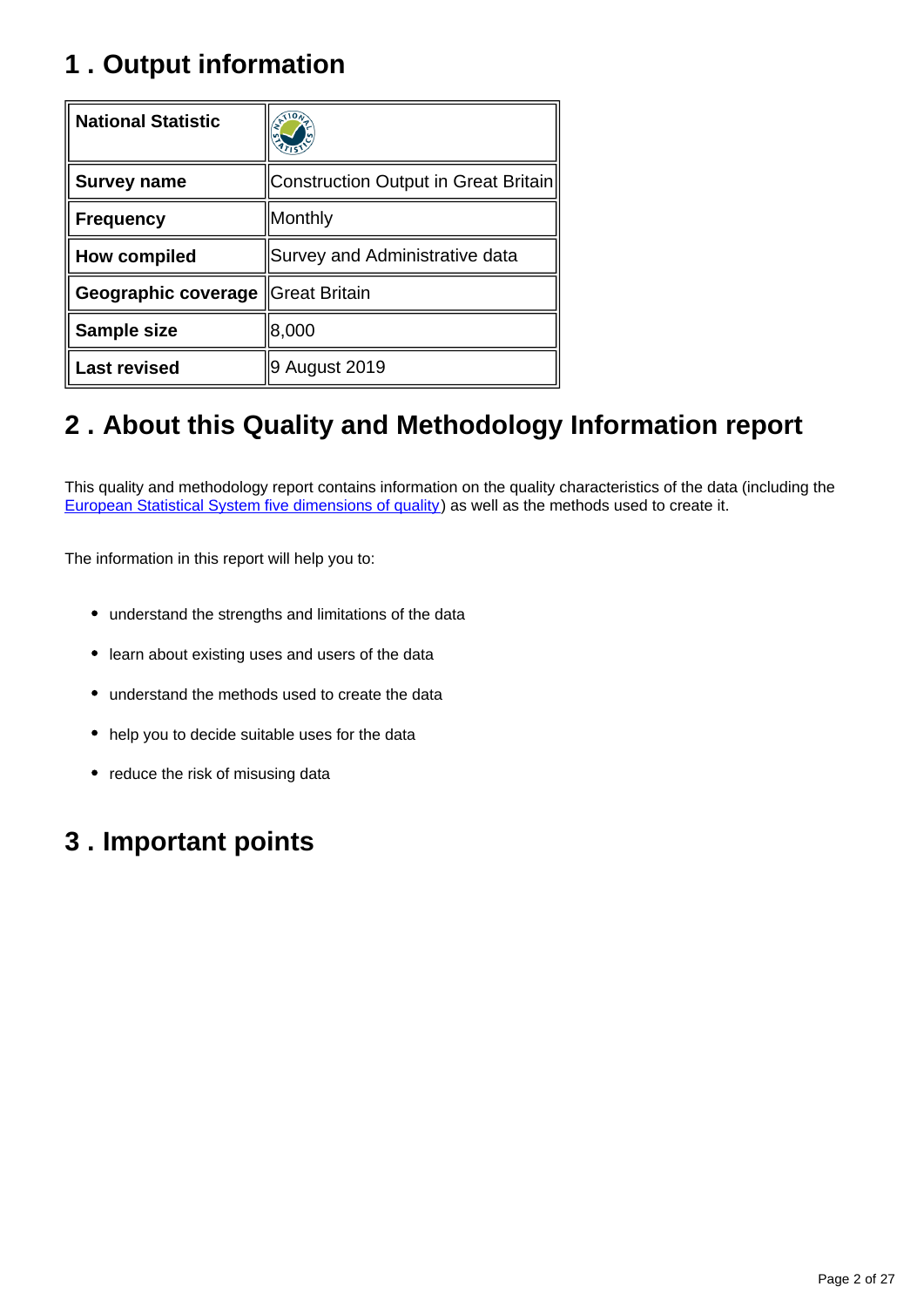# <span id="page-1-0"></span>**1 . Output information**

| <b>National Statistic</b> |                                      |
|---------------------------|--------------------------------------|
| <b>Survey name</b>        | Construction Output in Great Britain |
| <b>Frequency</b>          | Monthly                              |
| How compiled              | Survey and Administrative data       |
| Geographic coverage       | <b>Great Britain</b>                 |
| <b>Sample size</b>        | 8,000                                |
| <b>Last revised</b>       | 9 August 2019                        |

# <span id="page-1-1"></span>**2 . About this Quality and Methodology Information report**

This quality and methodology report contains information on the quality characteristics of the data (including the [European Statistical System five dimensions of quality](https://ec.europa.eu/eurostat/documents/3859598/6651706/KS-GQ-15-003-EN-N.pdf/18dd4bf0-8de6-4f3f-9adb-fab92db1a568)) as well as the methods used to create it.

The information in this report will help you to:

- understand the strengths and limitations of the data
- learn about existing uses and users of the data
- understand the methods used to create the data
- help you to decide suitable uses for the data
- reduce the risk of misusing data

# <span id="page-1-2"></span>**3 . Important points**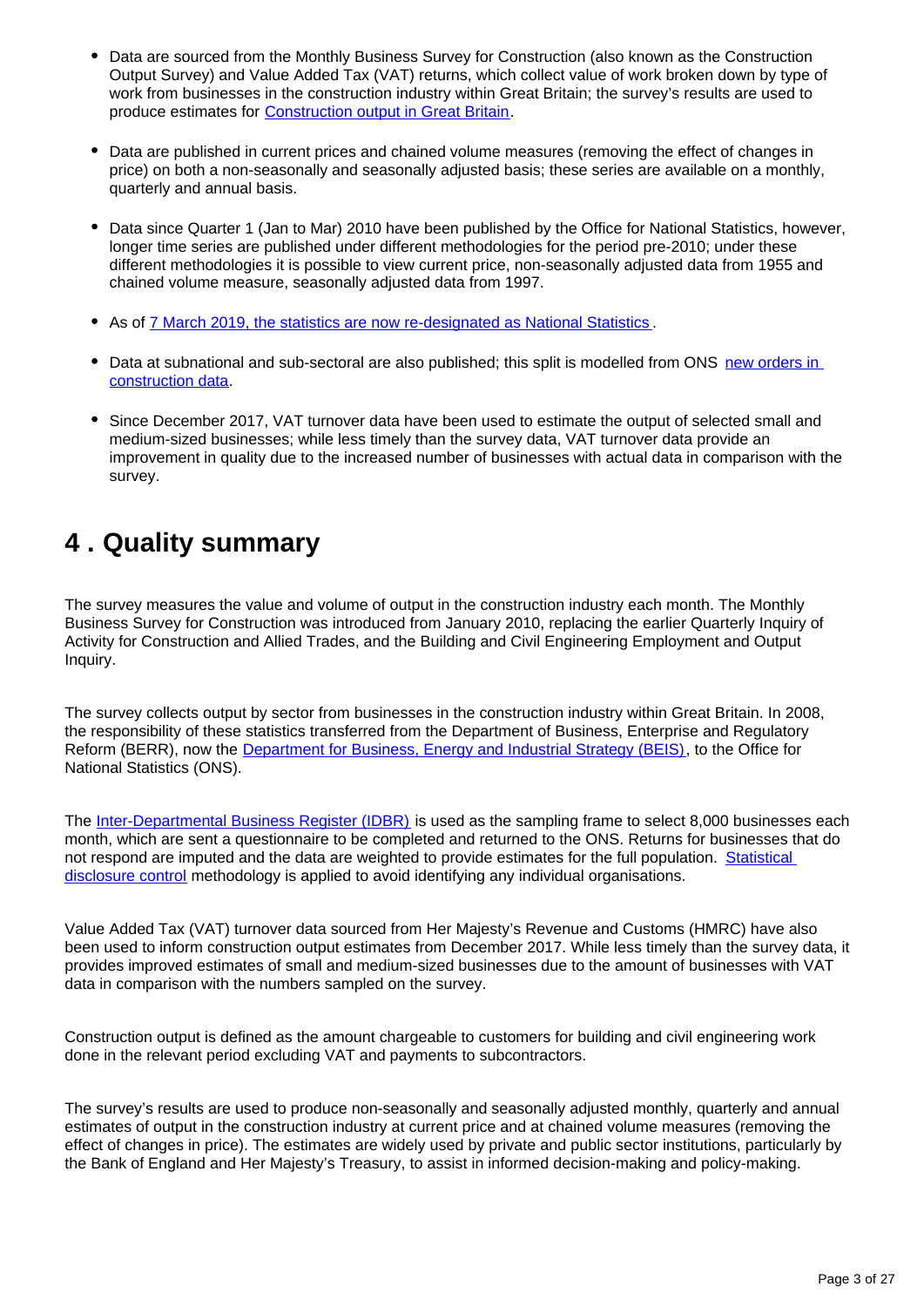- Data are sourced from the Monthly Business Survey for Construction (also known as the Construction Output Survey) and Value Added Tax (VAT) returns, which collect value of work broken down by type of work from businesses in the construction industry within Great Britain; the survey's results are used to produce estimates for [Construction output in Great Britain.](https://www.ons.gov.uk/businessindustryandtrade/constructionindustry/bulletins/constructionoutputingreatbritain/previousReleases)
- Data are published in current prices and chained volume measures (removing the effect of changes in price) on both a non-seasonally and seasonally adjusted basis; these series are available on a monthly, quarterly and annual basis.
- Data since Quarter 1 (Jan to Mar) 2010 have been published by the Office for National Statistics, however, longer time series are published under different methodologies for the period pre-2010; under these different methodologies it is possible to view current price, non-seasonally adjusted data from 1955 and chained volume measure, seasonally adjusted data from 1997.
- As of [7 March 2019, the statistics are now re-designated as National Statistics](https://www.statisticsauthority.gov.uk/correspondence/national-statistics-confirmation-ons-construction-statistics/)
- Data at subnational and sub-sectoral are also published; this split is modelled from ONS new orders in [construction data.](https://www.ons.gov.uk/businessindustryandtrade/constructionindustry/methodologies/newordersinconstructionqmi)
- Since December 2017, VAT turnover data have been used to estimate the output of selected small and medium-sized businesses; while less timely than the survey data, VAT turnover data provide an improvement in quality due to the increased number of businesses with actual data in comparison with the survey.

# <span id="page-2-0"></span>**4 . Quality summary**

The survey measures the value and volume of output in the construction industry each month. The Monthly Business Survey for Construction was introduced from January 2010, replacing the earlier Quarterly Inquiry of Activity for Construction and Allied Trades, and the Building and Civil Engineering Employment and Output Inquiry.

The survey collects output by sector from businesses in the construction industry within Great Britain. In 2008, the responsibility of these statistics transferred from the Department of Business, Enterprise and Regulatory Reform (BERR), now the **Department for Business, Energy and Industrial Strategy (BEIS)**, to the Office for National Statistics (ONS).

The [Inter-Departmental Business Register \(IDBR\)](https://www.ons.gov.uk/aboutus/whatwedo/paidservices/interdepartmentalbusinessregisteridbr) is used as the sampling frame to select 8,000 businesses each month, which are sent a questionnaire to be completed and returned to the ONS. Returns for businesses that do not respond are imputed and the data are weighted to provide estimates for the full population. [Statistical](https://www.ons.gov.uk/methodology/methodologytopicsandstatisticalconcepts/disclosurecontrol)  [disclosure control](https://www.ons.gov.uk/methodology/methodologytopicsandstatisticalconcepts/disclosurecontrol) methodology is applied to avoid identifying any individual organisations.

Value Added Tax (VAT) turnover data sourced from Her Majesty's Revenue and Customs (HMRC) have also been used to inform construction output estimates from December 2017. While less timely than the survey data, it provides improved estimates of small and medium-sized businesses due to the amount of businesses with VAT data in comparison with the numbers sampled on the survey.

Construction output is defined as the amount chargeable to customers for building and civil engineering work done in the relevant period excluding VAT and payments to subcontractors.

The survey's results are used to produce non-seasonally and seasonally adjusted monthly, quarterly and annual estimates of output in the construction industry at current price and at chained volume measures (removing the effect of changes in price). The estimates are widely used by private and public sector institutions, particularly by the Bank of England and Her Majesty's Treasury, to assist in informed decision-making and policy-making.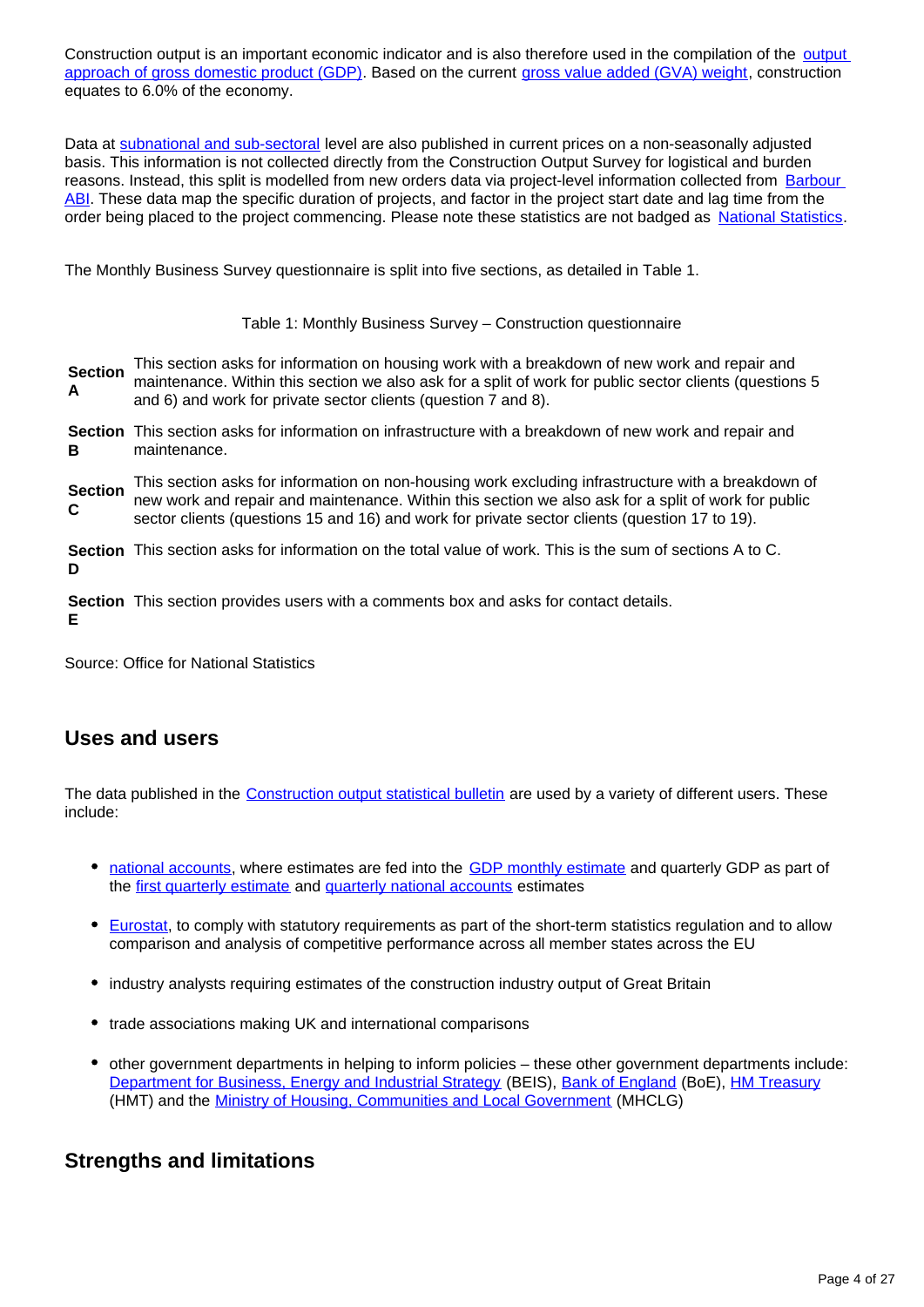Construction [output](https://www.ons.gov.uk/economy/grossdomesticproductgdp/methodologies/outputapproachtogrossdomesticproductgdp) is an important economic indicator and is also therefore used in the compilation of the output [approach of gross domestic product \(GDP\).](https://www.ons.gov.uk/economy/grossdomesticproductgdp/methodologies/outputapproachtogrossdomesticproductgdp) Based on the current [gross value added \(GVA\) weight](https://www.ons.gov.uk/economy/grossdomesticproductgdp/datasets/ukgdpolowlevelaggregates), construction equates to 6.0% of the economy.

Data at [subnational and sub-sectoral](https://www.ons.gov.uk/businessindustryandtrade/constructionindustry/datasets/outputintheconstructionindustrysubnationalandsubsector) level are also published in current prices on a non-seasonally adjusted basis. This information is not collected directly from the Construction Output Survey for logistical and burden reasons. Instead, this split is modelled from new orders data via project-level information collected from [Barbour](https://www.barbour-abi.com/evolution/)  [ABI](https://www.barbour-abi.com/evolution/). These data map the specific duration of projects, and factor in the project start date and lag time from the order being placed to the project commencing. Please note these statistics are not badged as [National Statistics](https://www.statisticsauthority.gov.uk/about-the-authority/uk-statistical-system/types-of-official-statistics/).

The Monthly Business Survey questionnaire is split into five sections, as detailed in Table 1.

Table 1: Monthly Business Survey – Construction questionnaire

**Section A** This section asks for information on housing work with a breakdown of new work and repair and maintenance. Within this section we also ask for a split of work for public sector clients (questions 5 and 6) and work for private sector clients (question 7 and 8).

**Section**  This section asks for information on infrastructure with a breakdown of new work and repair and **B** maintenance.

**Section C** This section asks for information on non-housing work excluding infrastructure with a breakdown of new work and repair and maintenance. Within this section we also ask for a split of work for public sector clients (questions 15 and 16) and work for private sector clients (question 17 to 19).

**Section**  This section asks for information on the total value of work. This is the sum of sections A to C. **D**

**Section**  This section provides users with a comments box and asks for contact details. **E**

Source: Office for National Statistics

# **Uses and users**

The data published in the [Construction output statistical bulletin](https://www.ons.gov.uk/businessindustryandtrade/constructionindustry/bulletins/constructionoutputingreatbritain/previousReleases) are used by a variety of different users. These include:

- [national accounts](https://www.ons.gov.uk/economy/nationalaccounts), where estimates are fed into the [GDP monthly estimate](https://www.ons.gov.uk/economy/grossdomesticproductgdp/bulletins/gdpmonthlyestimateuk/previousReleases) and quarterly GDP as part of the [first quarterly estimate](https://www.ons.gov.uk/economy/grossdomesticproductgdp/bulletins/gdpfirstquarterlyestimateuk/previousReleases) and [quarterly national accounts](https://www.ons.gov.uk/economy/grossdomesticproductgdp/bulletins/quarterlynationalaccounts/previousReleases) estimates
- [Eurostat](https://ec.europa.eu/eurostat/statistics-explained/index.php/Construction_production_(volume)_index_overview), to comply with statutory requirements as part of the short-term statistics regulation and to allow comparison and analysis of competitive performance across all member states across the EU
- industry analysts requiring estimates of the construction industry output of Great Britain
- trade associations making UK and international comparisons
- other government departments in helping to inform policies these other government departments include: [Department for Business, Energy and Industrial Strategy](https://www.gov.uk/government/organisations/department-for-business-energy-and-industrial-strategy) (BEIS), [Bank of England](https://www.bankofengland.co.uk/) (BoE), [HM Treasury](https://www.gov.uk/government/organisations/hm-treasury) (HMT) and the [Ministry of Housing, Communities and Local Government](https://www.gov.uk/government/organisations/ministry-of-housing-communities-and-local-government) (MHCLG)

### **Strengths and limitations**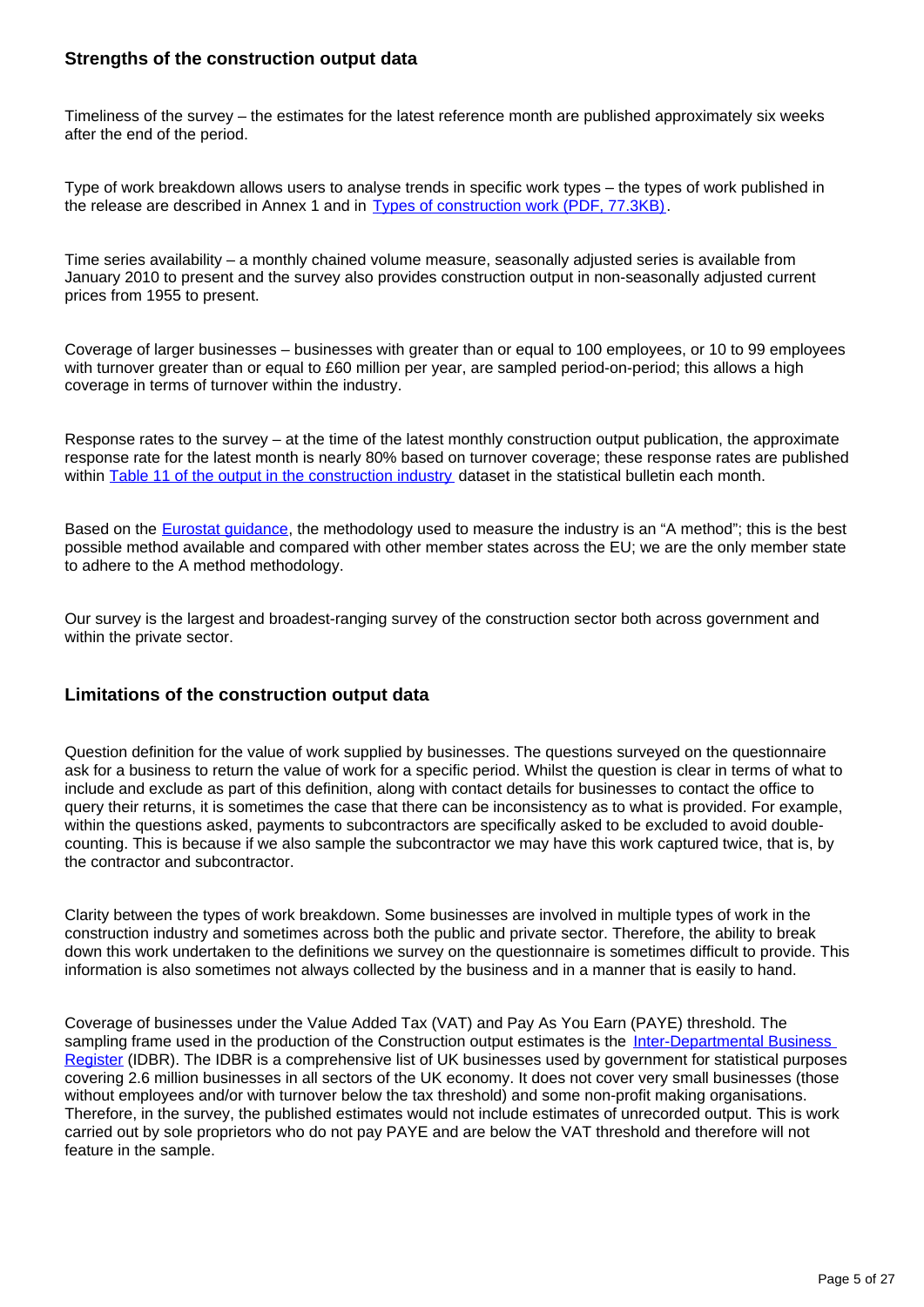#### **Strengths of the construction output data**

Timeliness of the survey – the estimates for the latest reference month are published approximately six weeks after the end of the period.

Type of work breakdown allows users to analyse trends in specific work types – the types of work published in the release are described in Annex 1 and in [Types of construction work \(PDF, 77.3KB\).](https://www.ons.gov.uk/file?uri=/businessindustryandtrade/constructionindustry/methodologies/outputintheconstructionindustry/typeofconstructionworktcm77370117.pdf)

Time series availability – a monthly chained volume measure, seasonally adjusted series is available from January 2010 to present and the survey also provides construction output in non-seasonally adjusted current prices from 1955 to present.

Coverage of larger businesses – businesses with greater than or equal to 100 employees, or 10 to 99 employees with turnover greater than or equal to £60 million per year, are sampled period-on-period; this allows a high coverage in terms of turnover within the industry.

Response rates to the survey – at the time of the latest monthly construction output publication, the approximate response rate for the latest month is nearly 80% based on turnover coverage; these response rates are published within [Table 11 of the output in the construction industry](https://www.ons.gov.uk/businessindustryandtrade/constructionindustry/datasets/outputintheconstructionindustrysubnationalandsubsector) dataset in the statistical bulletin each month.

Based on the **[Eurostat guidance](https://ec.europa.eu/eurostat/web/products-manuals-and-guidelines/-/KS-GQ-14-005)**, the methodology used to measure the industry is an "A method"; this is the best possible method available and compared with other member states across the EU; we are the only member state to adhere to the A method methodology.

Our survey is the largest and broadest-ranging survey of the construction sector both across government and within the private sector.

#### **Limitations of the construction output data**

Question definition for the value of work supplied by businesses. The questions surveyed on the questionnaire ask for a business to return the value of work for a specific period. Whilst the question is clear in terms of what to include and exclude as part of this definition, along with contact details for businesses to contact the office to query their returns, it is sometimes the case that there can be inconsistency as to what is provided. For example, within the questions asked, payments to subcontractors are specifically asked to be excluded to avoid doublecounting. This is because if we also sample the subcontractor we may have this work captured twice, that is, by the contractor and subcontractor.

Clarity between the types of work breakdown. Some businesses are involved in multiple types of work in the construction industry and sometimes across both the public and private sector. Therefore, the ability to break down this work undertaken to the definitions we survey on the questionnaire is sometimes difficult to provide. This information is also sometimes not always collected by the business and in a manner that is easily to hand.

Coverage of businesses under the Value Added Tax (VAT) and Pay As You Earn (PAYE) threshold. The sampling frame used in the production of the Construction output estimates is the Inter-Departmental Business [Register](https://www.ons.gov.uk/aboutus/whatwedo/paidservices/interdepartmentalbusinessregisteridbr) (IDBR). The IDBR is a comprehensive list of UK businesses used by government for statistical purposes covering 2.6 million businesses in all sectors of the UK economy. It does not cover very small businesses (those without employees and/or with turnover below the tax threshold) and some non-profit making organisations. Therefore, in the survey, the published estimates would not include estimates of unrecorded output. This is work carried out by sole proprietors who do not pay PAYE and are below the VAT threshold and therefore will not feature in the sample.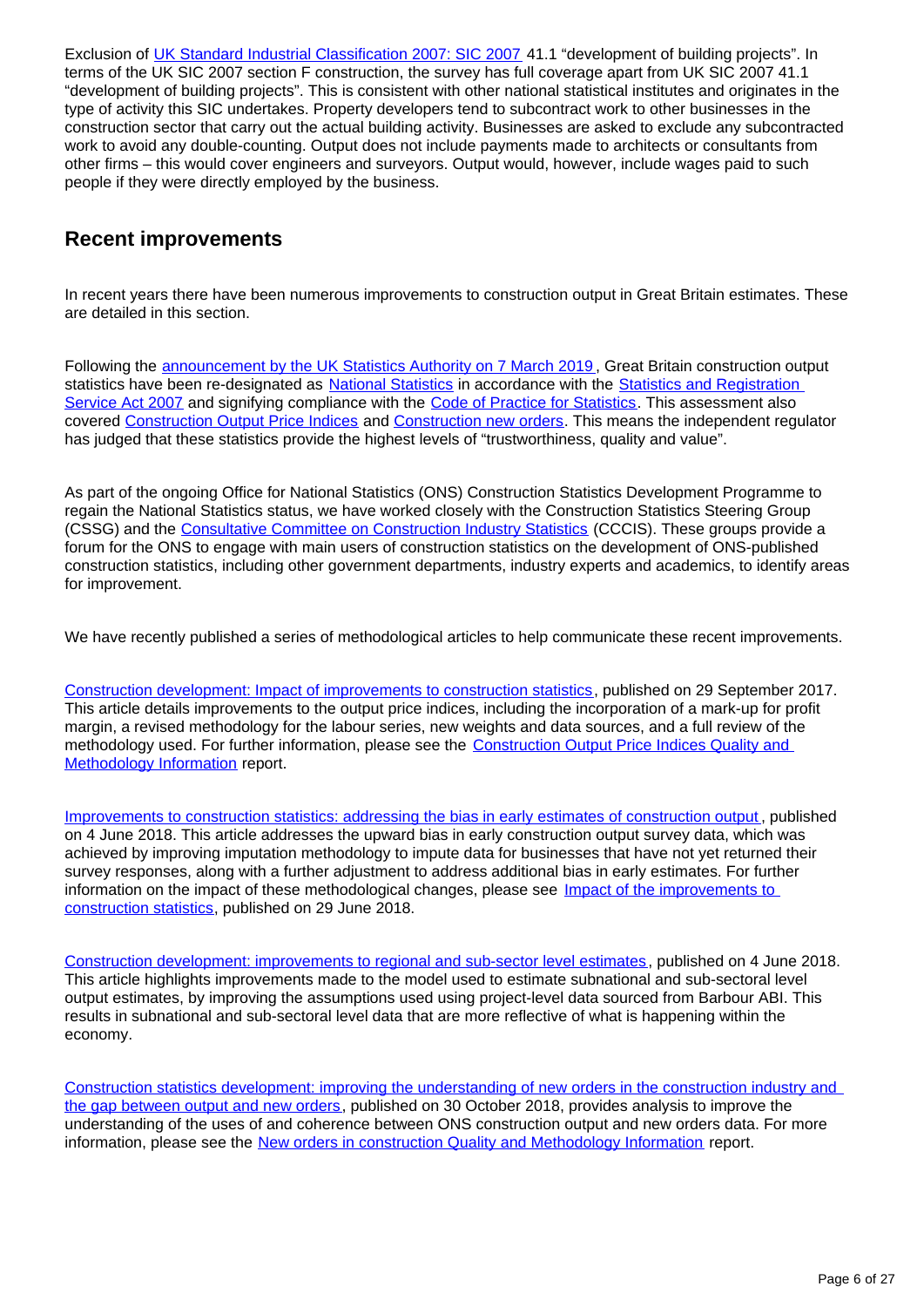Exclusion of [UK Standard Industrial Classification 2007: SIC 2007](https://www.ons.gov.uk/methodology/classificationsandstandards/ukstandardindustrialclassificationofeconomicactivities/uksic2007) 41.1 "development of building projects". In terms of the UK SIC 2007 section F construction, the survey has full coverage apart from UK SIC 2007 41.1 "development of building projects". This is consistent with other national statistical institutes and originates in the type of activity this SIC undertakes. Property developers tend to subcontract work to other businesses in the construction sector that carry out the actual building activity. Businesses are asked to exclude any subcontracted work to avoid any double-counting. Output does not include payments made to architects or consultants from other firms – this would cover engineers and surveyors. Output would, however, include wages paid to such people if they were directly employed by the business.

# **Recent improvements**

In recent years there have been numerous improvements to construction output in Great Britain estimates. These are detailed in this section.

Following the [announcement by the UK Statistics Authority on 7 March 2019](https://www.statisticsauthority.gov.uk/correspondence/national-statistics-confirmation-ons-construction-statistics/) , Great Britain construction output statistics have been re-designated as [National Statistics](https://www.statisticsauthority.gov.uk/about-the-authority/uk-statistical-system/types-of-official-statistics/) in accordance with the Statistics and Registration [Service Act 2007](https://www.statisticsauthority.gov.uk/about-the-authority/uk-statistical-system/legislation/key-legislative-documents/) and signifying compliance with the [Code of Practice for Statistics.](https://www.statisticsauthority.gov.uk/code-of-practice/) This assessment also covered [Construction Output Price Indices](https://www.ons.gov.uk/businessindustryandtrade/constructionindustry/bulletins/constructionoutputpriceindicesopis/previousReleases) and [Construction new orders.](https://www.ons.gov.uk/businessindustryandtrade/constructionindustry/methodologies/newordersinconstructionqmi) This means the independent regulator has judged that these statistics provide the highest levels of "trustworthiness, quality and value".

As part of the ongoing Office for National Statistics (ONS) Construction Statistics Development Programme to regain the National Statistics status, we have worked closely with the Construction Statistics Steering Group (CSSG) and the [Consultative Committee on Construction Industry Statistics](https://www.gov.uk/government/publications/cccis) (CCCIS). These groups provide a forum for the ONS to engage with main users of construction statistics on the development of ONS-published construction statistics, including other government departments, industry experts and academics, to identify areas for improvement.

We have recently published a series of methodological articles to help communicate these recent improvements.

[Construction development: Impact of improvements to construction statistics,](https://www.ons.gov.uk/businessindustryandtrade/constructionindustry/articles/constructiondevelopment/impactofimprovementstoconstructionstatistics) published on 29 September 2017. This article details improvements to the output price indices, including the incorporation of a mark-up for profit margin, a revised methodology for the labour series, new weights and data sources, and a full review of the methodology used. For further information, please see the [Construction Output Price Indices Quality and](https://www.ons.gov.uk/businessindustryandtrade/constructionindustry/methodologies/constructionoutputpriceindicesopisqmi)  [Methodology Information](https://www.ons.gov.uk/businessindustryandtrade/constructionindustry/methodologies/constructionoutputpriceindicesopisqmi) report.

[Improvements to construction statistics: addressing the bias in early estimates of construction output](https://www.ons.gov.uk/businessindustryandtrade/constructionindustry/articles/improvementstoconstructionstatisticsaddressingthebiasinearlyestimatesofconstructionoutputjune2018/2018-06-04) , published on 4 June 2018. This article addresses the upward bias in early construction output survey data, which was achieved by improving imputation methodology to impute data for businesses that have not yet returned their survey responses, along with a further adjustment to address additional bias in early estimates. For further information on the impact of these methodological changes, please see Impact of the improvements to [construction statistics](https://www.ons.gov.uk/releases/impactofimprovementstoconstructionstatisticsjune2018), published on 29 June 2018.

[Construction development: improvements to regional and sub-sector level estimates](https://www.ons.gov.uk/businessindustryandtrade/constructionindustry/articles/constructiondevelopmentimprovementstoregionalandsubsectorlevelestimatesjune2018/2018-06-04) , published on 4 June 2018. This article highlights improvements made to the model used to estimate subnational and sub-sectoral level output estimates, by improving the assumptions used using project-level data sourced from Barbour ABI. This results in subnational and sub-sectoral level data that are more reflective of what is happening within the economy.

[Construction statistics development: improving the understanding of new orders in the construction industry and](https://www.ons.gov.uk/businessindustryandtrade/constructionindustry/articles/constructionstatisticsdevelopmentimprovingtheunderstandingofnewordersintheconstructionindustryandthegapbetweenoutputandneworders/2018-10-30)  [the gap between output and new orders](https://www.ons.gov.uk/businessindustryandtrade/constructionindustry/articles/constructionstatisticsdevelopmentimprovingtheunderstandingofnewordersintheconstructionindustryandthegapbetweenoutputandneworders/2018-10-30), published on 30 October 2018, provides analysis to improve the understanding of the uses of and coherence between ONS construction output and new orders data. For more information, please see the [New orders in construction Quality and Methodology Information](https://www.ons.gov.uk/businessindustryandtrade/constructionindustry/methodologies/newordersinconstructionqmi) report.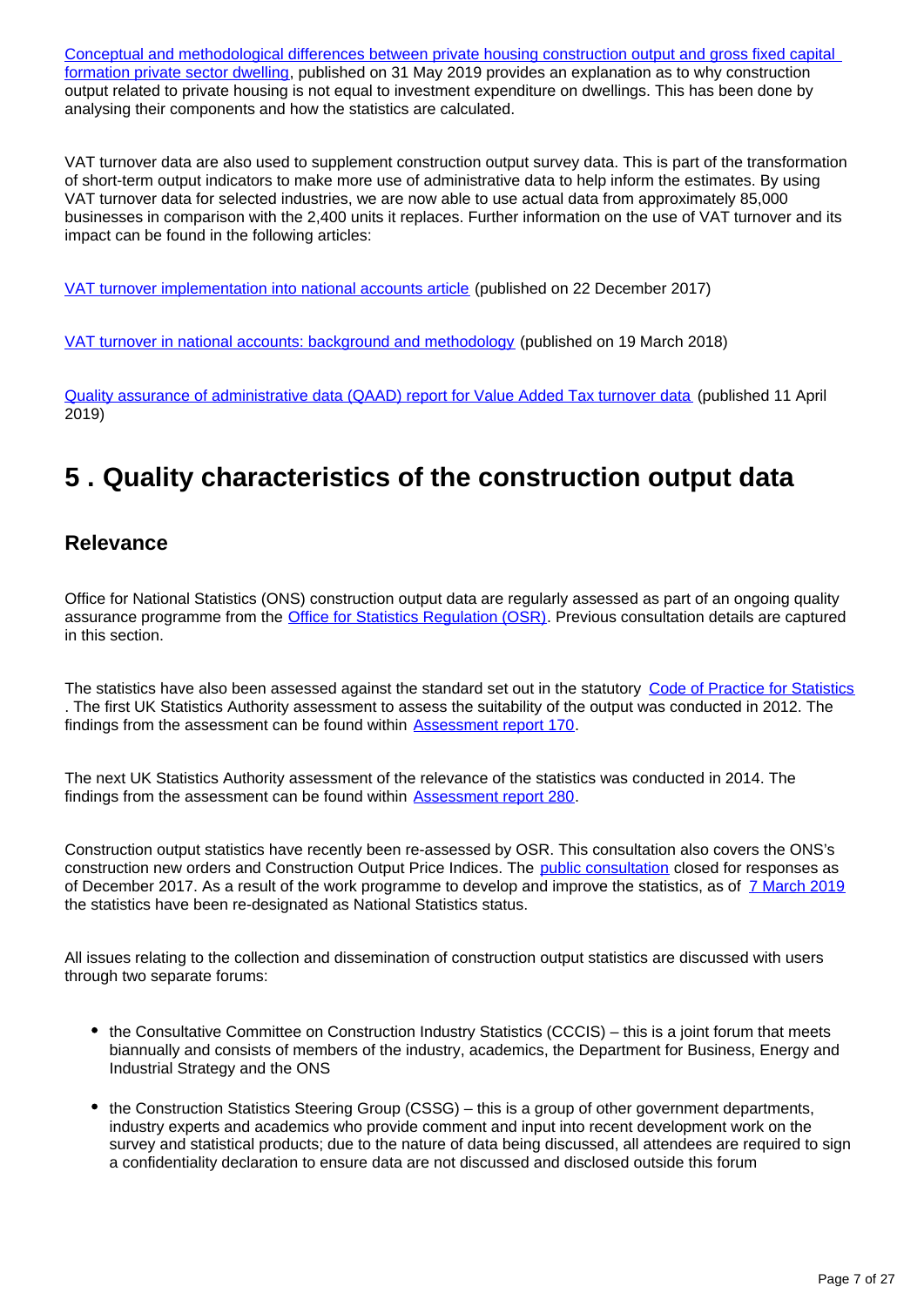[Conceptual and methodological differences between private housing construction output and gross fixed capital](https://www.ons.gov.uk/economy/grossdomesticproductgdp/articles/conceptualandmethodologicaldifferencesbetweenprivatehousingconstructionoutputandgrossfixedcapitalformationprivatesectordwellings/2019-05-31)  [formation private sector dwelling,](https://www.ons.gov.uk/economy/grossdomesticproductgdp/articles/conceptualandmethodologicaldifferencesbetweenprivatehousingconstructionoutputandgrossfixedcapitalformationprivatesectordwellings/2019-05-31) published on 31 May 2019 provides an explanation as to why construction output related to private housing is not equal to investment expenditure on dwellings. This has been done by analysing their components and how the statistics are calculated.

VAT turnover data are also used to supplement construction output survey data. This is part of the transformation of short-term output indicators to make more use of administrative data to help inform the estimates. By using VAT turnover data for selected industries, we are now able to use actual data from approximately 85,000 businesses in comparison with the 2,400 units it replaces. Further information on the use of VAT turnover and its impact can be found in the following articles:

[VAT turnover implementation into national accounts article](https://www.ons.gov.uk/economy/grossdomesticproductgdp/articles/vatturnoverinitialresearchanalysisuk/december) (published on 22 December 2017)

[VAT turnover in national accounts: background and methodology](https://www.ons.gov.uk/economy/grossdomesticproductgdp/methodologies/vatturnoverdatainnationalaccountsbackgroundandmethodology) (published on 19 March 2018)

[Quality assurance of administrative data \(QAAD\) report for Value Added Tax turnover data](https://www.ons.gov.uk/economy/economicoutputandproductivity/output/methodologies/qualityassuranceofadministrativedataqaadreportforvalueaddedtaxturnoverdata) (published 11 April 2019)

# <span id="page-6-0"></span>**5 . Quality characteristics of the construction output data**

## **Relevance**

Office for National Statistics (ONS) construction output data are regularly assessed as part of an ongoing quality assurance programme from the [Office for Statistics Regulation \(OSR\).](https://www.statisticsauthority.gov.uk/osr/) Previous consultation details are captured in this section.

The statistics have also been assessed against the standard set out in the statutory [Code of Practice for Statistics](https://www.statisticsauthority.gov.uk/code-of-practice/) . The first UK Statistics Authority assessment to assess the suitability of the output was conducted in 2012. The findings from the assessment can be found within [Assessment report 170.](https://www.statisticsauthority.gov.uk/publication/statistics-on-output-and-new-orders-in-the-construction-industry/)

The next UK Statistics Authority assessment of the relevance of the statistics was conducted in 2014. The findings from the assessment can be found within [Assessment report 280.](https://www.statisticsauthority.gov.uk/publication/statistics-on-construction-output-and-new-orders/)

Construction output statistics have recently been re-assessed by OSR. This consultation also covers the ONS's construction new orders and Construction Output Price Indices. The [public consultation](https://www.statisticsauthority.gov.uk/osr/what-we-do/assessment/current-future-assessments/re-assessment-of-onss-construction-output-and-new-orders-statistics-and-construction-output-price-indices-opis-statistics/) closed for responses as of December 2017. As a result of the work programme to develop and improve the statistics, as of [7 March 2019](https://www.statisticsauthority.gov.uk/correspondence/national-statistics-confirmation-ons-construction-statistics/) the statistics have been re-designated as National Statistics status.

All issues relating to the collection and dissemination of construction output statistics are discussed with users through two separate forums:

- the Consultative Committee on Construction Industry Statistics (CCCIS) this is a joint forum that meets biannually and consists of members of the industry, academics, the Department for Business, Energy and Industrial Strategy and the ONS
- the Construction Statistics Steering Group (CSSG) this is a group of other government departments, industry experts and academics who provide comment and input into recent development work on the survey and statistical products; due to the nature of data being discussed, all attendees are required to sign a confidentiality declaration to ensure data are not discussed and disclosed outside this forum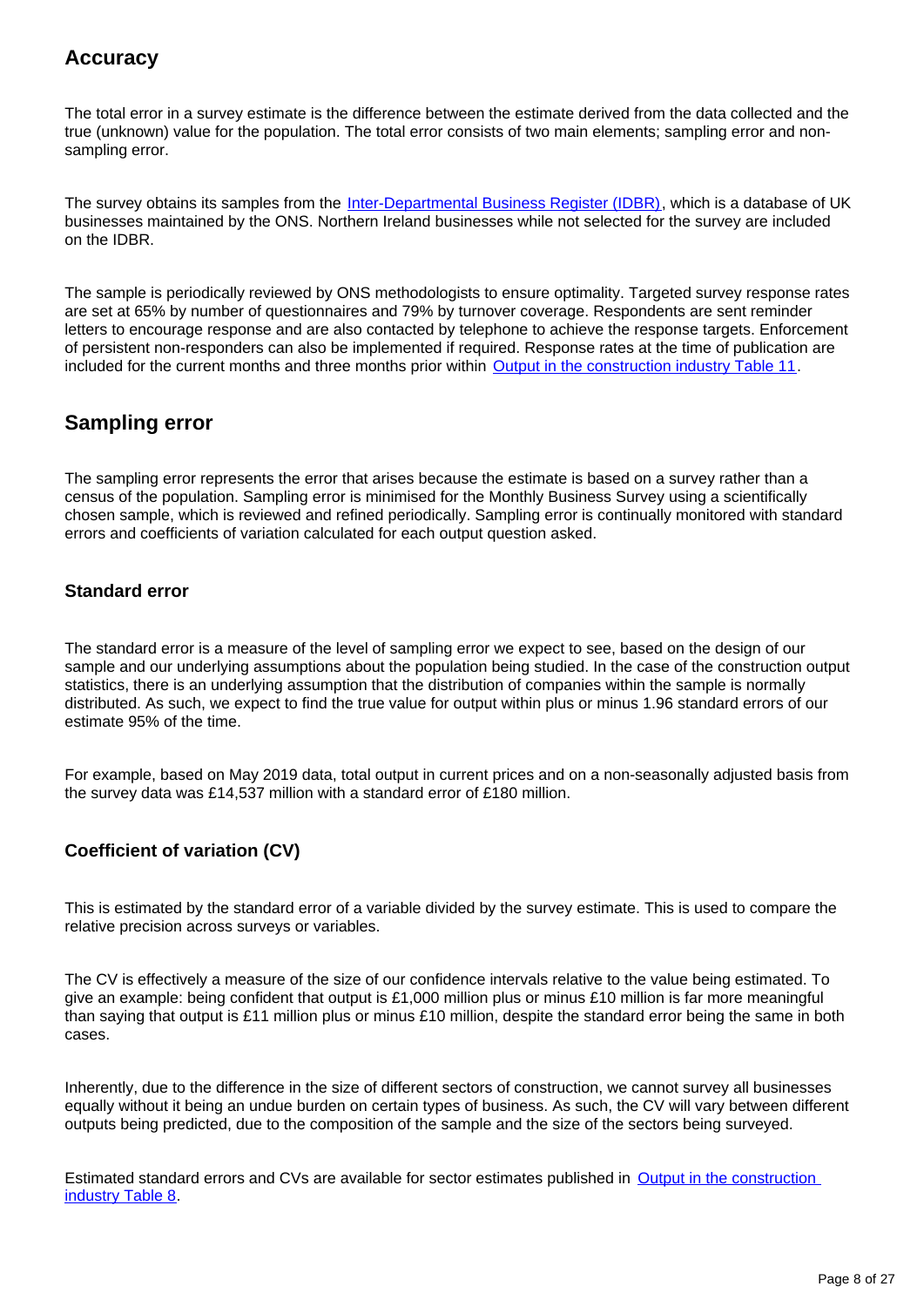# **Accuracy**

The total error in a survey estimate is the difference between the estimate derived from the data collected and the true (unknown) value for the population. The total error consists of two main elements; sampling error and nonsampling error.

The survey obtains its samples from the [Inter-Departmental Business Register \(IDBR\)](https://www.ons.gov.uk/aboutus/whatwedo/paidservices/interdepartmentalbusinessregisteridbr), which is a database of UK businesses maintained by the ONS. Northern Ireland businesses while not selected for the survey are included on the IDBR.

The sample is periodically reviewed by ONS methodologists to ensure optimality. Targeted survey response rates are set at 65% by number of questionnaires and 79% by turnover coverage. Respondents are sent reminder letters to encourage response and are also contacted by telephone to achieve the response targets. Enforcement of persistent non-responders can also be implemented if required. Response rates at the time of publication are included for the current months and three months prior within [Output in the construction industry Table 11.](https://www.ons.gov.uk/businessindustryandtrade/constructionindustry/datasets/outputintheconstructionindustry)

# **Sampling error**

The sampling error represents the error that arises because the estimate is based on a survey rather than a census of the population. Sampling error is minimised for the Monthly Business Survey using a scientifically chosen sample, which is reviewed and refined periodically. Sampling error is continually monitored with standard errors and coefficients of variation calculated for each output question asked.

#### **Standard error**

The standard error is a measure of the level of sampling error we expect to see, based on the design of our sample and our underlying assumptions about the population being studied. In the case of the construction output statistics, there is an underlying assumption that the distribution of companies within the sample is normally distributed. As such, we expect to find the true value for output within plus or minus 1.96 standard errors of our estimate 95% of the time.

For example, based on May 2019 data, total output in current prices and on a non-seasonally adjusted basis from the survey data was £14,537 million with a standard error of £180 million.

### **Coefficient of variation (CV)**

This is estimated by the standard error of a variable divided by the survey estimate. This is used to compare the relative precision across surveys or variables.

The CV is effectively a measure of the size of our confidence intervals relative to the value being estimated. To give an example: being confident that output is £1,000 million plus or minus £10 million is far more meaningful than saying that output is £11 million plus or minus £10 million, despite the standard error being the same in both cases.

Inherently, due to the difference in the size of different sectors of construction, we cannot survey all businesses equally without it being an undue burden on certain types of business. As such, the CV will vary between different outputs being predicted, due to the composition of the sample and the size of the sectors being surveyed.

Estimated standard errors and CVs are available for sector estimates published in Output in the construction [industry Table 8.](https://www.ons.gov.uk/businessindustryandtrade/constructionindustry/datasets/outputintheconstructionindustry)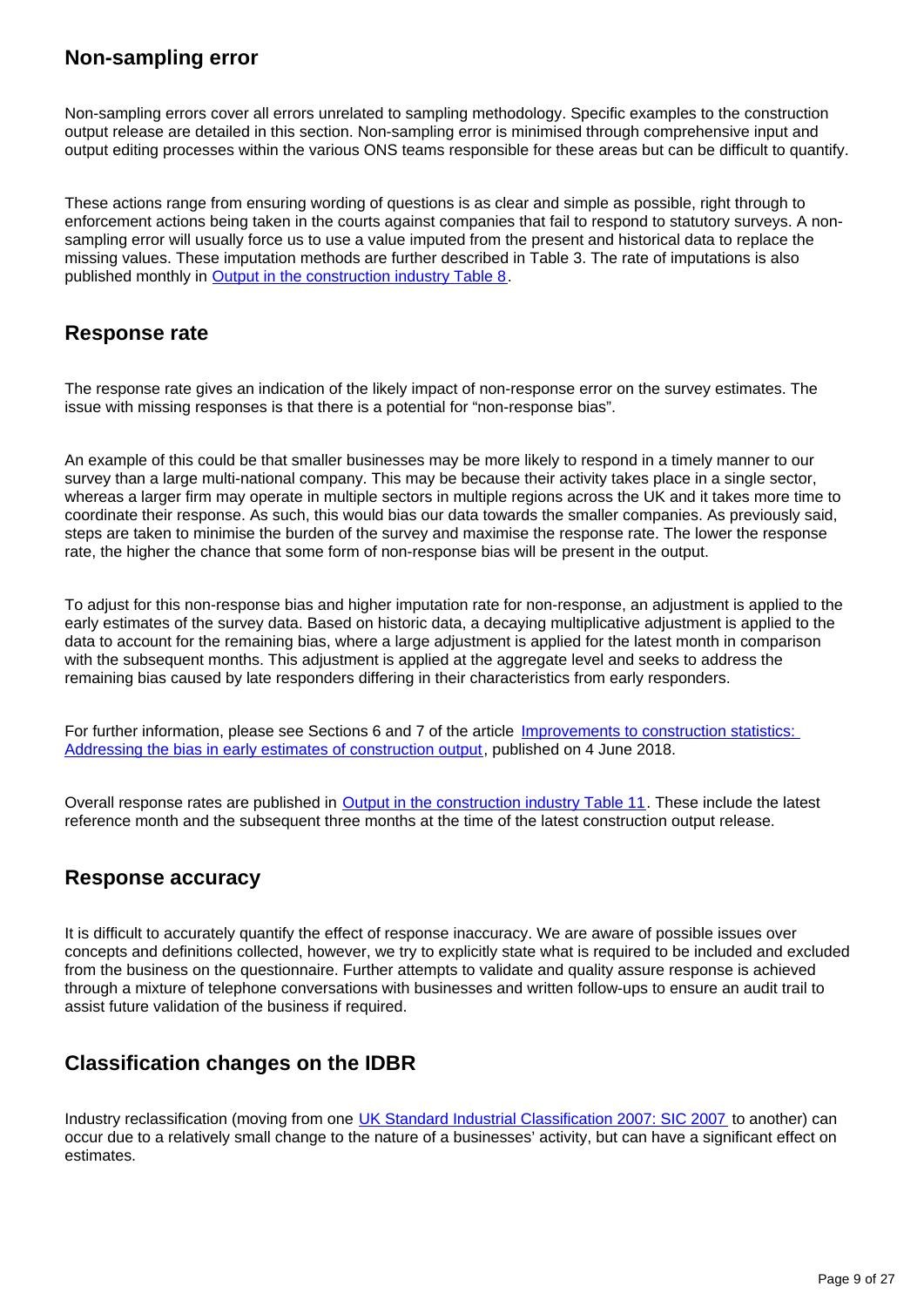# **Non-sampling error**

Non-sampling errors cover all errors unrelated to sampling methodology. Specific examples to the construction output release are detailed in this section. Non-sampling error is minimised through comprehensive input and output editing processes within the various ONS teams responsible for these areas but can be difficult to quantify.

These actions range from ensuring wording of questions is as clear and simple as possible, right through to enforcement actions being taken in the courts against companies that fail to respond to statutory surveys. A nonsampling error will usually force us to use a value imputed from the present and historical data to replace the missing values. These imputation methods are further described in Table 3. The rate of imputations is also published monthly in **[Output in the construction industry Table 8](https://www.ons.gov.uk/businessindustryandtrade/constructionindustry/datasets/outputintheconstructionindustry)**.

### **Response rate**

The response rate gives an indication of the likely impact of non-response error on the survey estimates. The issue with missing responses is that there is a potential for "non-response bias".

An example of this could be that smaller businesses may be more likely to respond in a timely manner to our survey than a large multi-national company. This may be because their activity takes place in a single sector, whereas a larger firm may operate in multiple sectors in multiple regions across the UK and it takes more time to coordinate their response. As such, this would bias our data towards the smaller companies. As previously said, steps are taken to minimise the burden of the survey and maximise the response rate. The lower the response rate, the higher the chance that some form of non-response bias will be present in the output.

To adjust for this non-response bias and higher imputation rate for non-response, an adjustment is applied to the early estimates of the survey data. Based on historic data, a decaying multiplicative adjustment is applied to the data to account for the remaining bias, where a large adjustment is applied for the latest month in comparison with the subsequent months. This adjustment is applied at the aggregate level and seeks to address the remaining bias caused by late responders differing in their characteristics from early responders.

For further information, please see Sections 6 and 7 of the article [Improvements to construction statistics:](https://www.ons.gov.uk/businessindustryandtrade/constructionindustry/articles/improvementstoconstructionstatisticsaddressingthebiasinearlyestimatesofconstructionoutputjune2018/2018-06-04)  [Addressing the bias in early estimates of construction output,](https://www.ons.gov.uk/businessindustryandtrade/constructionindustry/articles/improvementstoconstructionstatisticsaddressingthebiasinearlyestimatesofconstructionoutputjune2018/2018-06-04) published on 4 June 2018.

Overall response rates are published in [Output in the construction industry Table 11.](https://www.ons.gov.uk/businessindustryandtrade/constructionindustry/datasets/outputintheconstructionindustry) These include the latest reference month and the subsequent three months at the time of the latest construction output release.

### **Response accuracy**

It is difficult to accurately quantify the effect of response inaccuracy. We are aware of possible issues over concepts and definitions collected, however, we try to explicitly state what is required to be included and excluded from the business on the questionnaire. Further attempts to validate and quality assure response is achieved through a mixture of telephone conversations with businesses and written follow-ups to ensure an audit trail to assist future validation of the business if required.

# **Classification changes on the IDBR**

Industry reclassification (moving from one [UK Standard Industrial Classification 2007: SIC 2007](https://www.ons.gov.uk/methodology/classificationsandstandards/ukstandardindustrialclassificationofeconomicactivities/uksic2007) to another) can occur due to a relatively small change to the nature of a businesses' activity, but can have a significant effect on estimates.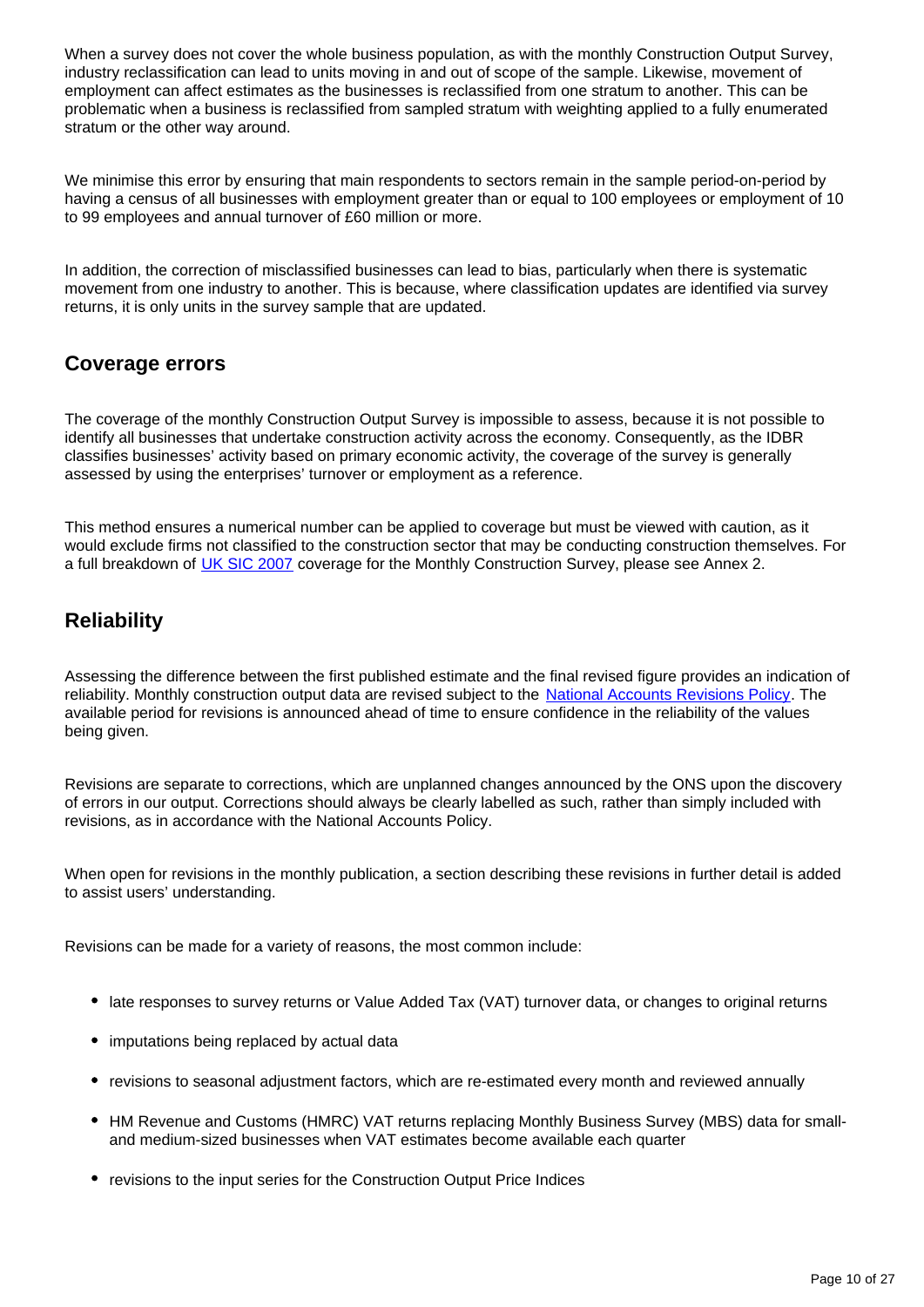When a survey does not cover the whole business population, as with the monthly Construction Output Survey, industry reclassification can lead to units moving in and out of scope of the sample. Likewise, movement of employment can affect estimates as the businesses is reclassified from one stratum to another. This can be problematic when a business is reclassified from sampled stratum with weighting applied to a fully enumerated stratum or the other way around.

We minimise this error by ensuring that main respondents to sectors remain in the sample period-on-period by having a census of all businesses with employment greater than or equal to 100 employees or employment of 10 to 99 employees and annual turnover of £60 million or more.

In addition, the correction of misclassified businesses can lead to bias, particularly when there is systematic movement from one industry to another. This is because, where classification updates are identified via survey returns, it is only units in the survey sample that are updated.

## **Coverage errors**

The coverage of the monthly Construction Output Survey is impossible to assess, because it is not possible to identify all businesses that undertake construction activity across the economy. Consequently, as the IDBR classifies businesses' activity based on primary economic activity, the coverage of the survey is generally assessed by using the enterprises' turnover or employment as a reference.

This method ensures a numerical number can be applied to coverage but must be viewed with caution, as it would exclude firms not classified to the construction sector that may be conducting construction themselves. For a full breakdown of [UK SIC 2007](https://www.ons.gov.uk/methodology/classificationsandstandards/ukstandardindustrialclassificationofeconomicactivities/uksic2007) coverage for the Monthly Construction Survey, please see Annex 2.

# **Reliability**

Assessing the difference between the first published estimate and the final revised figure provides an indication of reliability. Monthly construction output data are revised subject to the [National Accounts Revisions Policy.](https://www.ons.gov.uk/methodology/methodologytopicsandstatisticalconcepts/revisions/revisionspoliciesforeconomicstatistics/nationalaccountsrevisionspolicyupdateddecember2017) The available period for revisions is announced ahead of time to ensure confidence in the reliability of the values being given.

Revisions are separate to corrections, which are unplanned changes announced by the ONS upon the discovery of errors in our output. Corrections should always be clearly labelled as such, rather than simply included with revisions, as in accordance with the National Accounts Policy.

When open for revisions in the monthly publication, a section describing these revisions in further detail is added to assist users' understanding.

Revisions can be made for a variety of reasons, the most common include:

- late responses to survey returns or Value Added Tax (VAT) turnover data, or changes to original returns
- imputations being replaced by actual data
- revisions to seasonal adjustment factors, which are re-estimated every month and reviewed annually
- HM Revenue and Customs (HMRC) VAT returns replacing Monthly Business Survey (MBS) data for smalland medium-sized businesses when VAT estimates become available each quarter
- revisions to the input series for the Construction Output Price Indices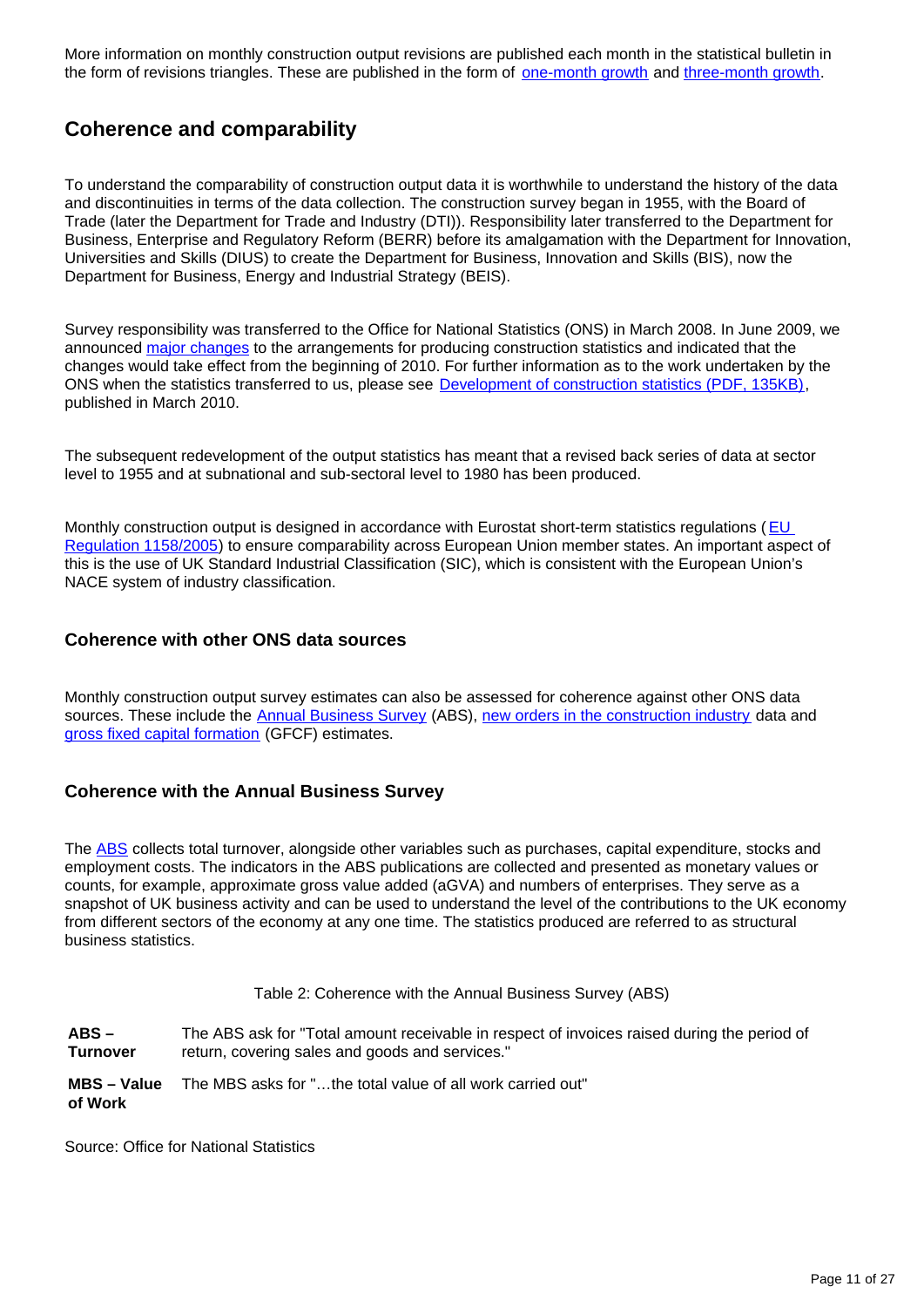More information on monthly construction output revisions are published each month in the statistical bulletin in the form of revisions triangles. These are published in the form of <u>[one-month growth](https://www.ons.gov.uk/businessindustryandtrade/constructionindustry/datasets/outputintheconstructionindustryrevisionstriangle1monthgrowth)</u> and [three-month growth.](https://www.ons.gov.uk/businessindustryandtrade/constructionindustry/datasets/outputintheconstructionindustryrevisionstriangle3monthgrowth)

## **Coherence and comparability**

To understand the comparability of construction output data it is worthwhile to understand the history of the data and discontinuities in terms of the data collection. The construction survey began in 1955, with the Board of Trade (later the Department for Trade and Industry (DTI)). Responsibility later transferred to the Department for Business, Enterprise and Regulatory Reform (BERR) before its amalgamation with the Department for Innovation, Universities and Skills (DIUS) to create the Department for Business, Innovation and Skills (BIS), now the Department for Business, Energy and Industrial Strategy (BEIS).

Survey responsibility was transferred to the Office for National Statistics (ONS) in March 2008. In June 2009, we announced [major changes](https://webarchive.nationalarchives.gov.uk/20160108013523/http://www.ons.gov.uk/ons/about-ons/consultations/closed-consultations/construction-statistics-publications/index.html) to the arrangements for producing construction statistics and indicated that the changes would take effect from the beginning of 2010. For further information as to the work undertaken by the ONS when the statistics transferred to us, please see [Development of construction statistics \(PDF, 135KB\),](https://www.ons.gov.uk/ons/rel/elmr/economic-and-labour-market-review/no--3--march-2010/development-of-construction-statistics.pdf) published in March 2010.

The subsequent redevelopment of the output statistics has meant that a revised back series of data at sector level to 1955 and at subnational and sub-sectoral level to 1980 has been produced.

Monthly construction output is designed in accordance with Eurostat short-term statistics regulations ( [EU](https://eur-lex.europa.eu/legal-content/EN/ALL/?uri=CELEX%3A32005R1158)  [Regulation 1158/2005\)](https://eur-lex.europa.eu/legal-content/EN/ALL/?uri=CELEX%3A32005R1158) to ensure comparability across European Union member states. An important aspect of this is the use of UK Standard Industrial Classification (SIC), which is consistent with the European Union's NACE system of industry classification.

#### **Coherence with other ONS data sources**

Monthly construction output survey estimates can also be assessed for coherence against other ONS data sources. These include the [Annual Business Survey](https://www.ons.gov.uk/businessindustryandtrade/business/businessservices/bulletins/uknonfinancialbusinesseconomy/previousReleases) (ABS), [new orders in the construction industry](https://www.ons.gov.uk/businessindustryandtrade/constructionindustry/methodologies/newordersinconstructionqmi) data and [gross fixed capital formation](https://www.ons.gov.uk/economy/grossdomesticproductgdp/datasets/grossfixedcapitalformationbysectorandasset/current) (GFCF) estimates.

#### **Coherence with the Annual Business Survey**

The [ABS](https://www.ons.gov.uk/businessindustryandtrade/business/businessservices/bulletins/uknonfinancialbusinesseconomy/previousReleases) collects total turnover, alongside other variables such as purchases, capital expenditure, stocks and employment costs. The indicators in the ABS publications are collected and presented as monetary values or counts, for example, approximate gross value added (aGVA) and numbers of enterprises. They serve as a snapshot of UK business activity and can be used to understand the level of the contributions to the UK economy from different sectors of the economy at any one time. The statistics produced are referred to as structural business statistics.

Table 2: Coherence with the Annual Business Survey (ABS)

**ABS – Turnover** The ABS ask for "Total amount receivable in respect of invoices raised during the period of return, covering sales and goods and services."

**MBS – Value of Work** The MBS asks for "…the total value of all work carried out"

Source: Office for National Statistics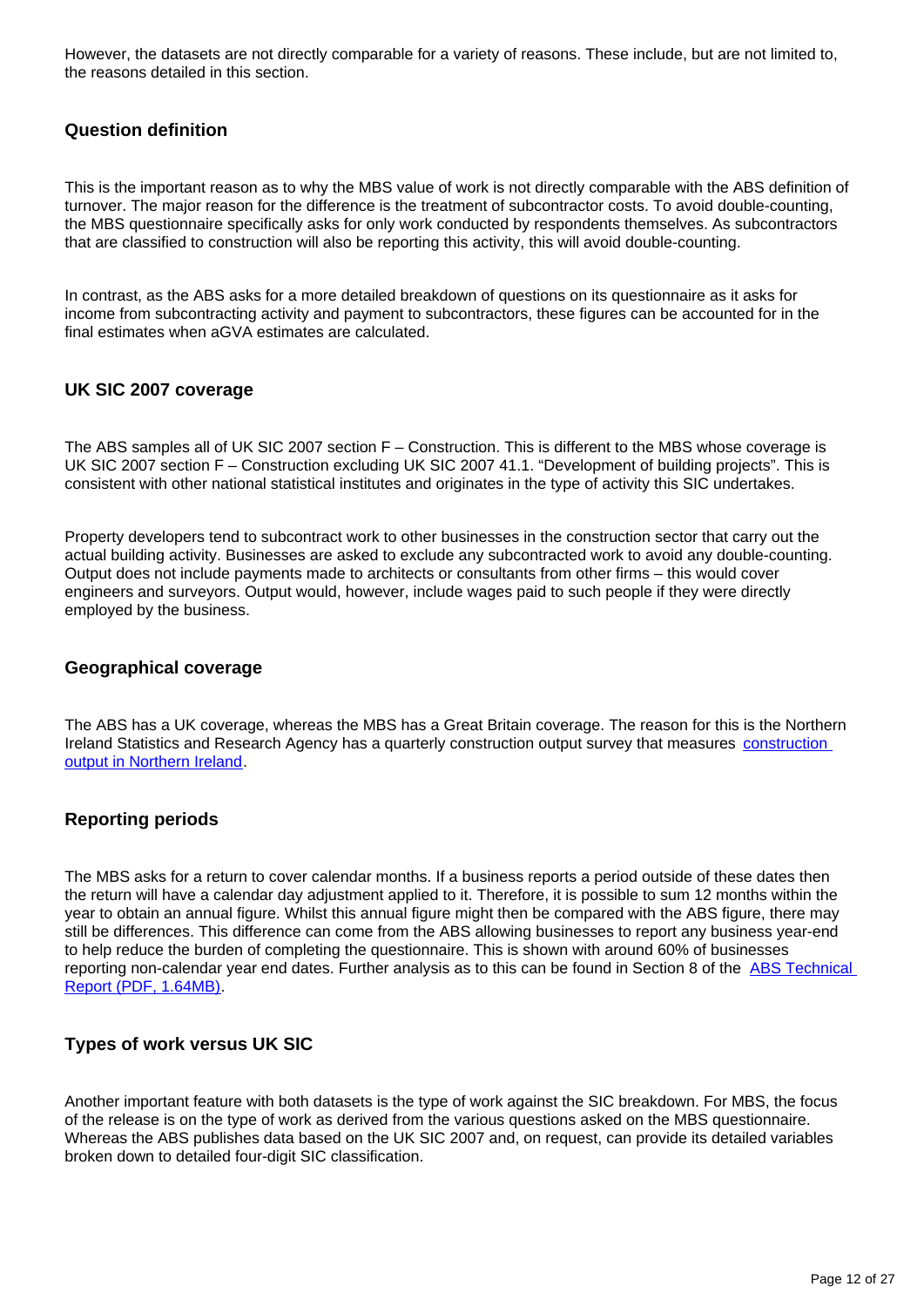However, the datasets are not directly comparable for a variety of reasons. These include, but are not limited to, the reasons detailed in this section.

#### **Question definition**

This is the important reason as to why the MBS value of work is not directly comparable with the ABS definition of turnover. The major reason for the difference is the treatment of subcontractor costs. To avoid double-counting, the MBS questionnaire specifically asks for only work conducted by respondents themselves. As subcontractors that are classified to construction will also be reporting this activity, this will avoid double-counting.

In contrast, as the ABS asks for a more detailed breakdown of questions on its questionnaire as it asks for income from subcontracting activity and payment to subcontractors, these figures can be accounted for in the final estimates when aGVA estimates are calculated.

#### **UK SIC 2007 coverage**

The ABS samples all of UK SIC 2007 section F – Construction. This is different to the MBS whose coverage is UK SIC 2007 section F – Construction excluding UK SIC 2007 41.1. "Development of building projects". This is consistent with other national statistical institutes and originates in the type of activity this SIC undertakes.

Property developers tend to subcontract work to other businesses in the construction sector that carry out the actual building activity. Businesses are asked to exclude any subcontracted work to avoid any double-counting. Output does not include payments made to architects or consultants from other firms – this would cover engineers and surveyors. Output would, however, include wages paid to such people if they were directly employed by the business.

#### **Geographical coverage**

The ABS has a UK coverage, whereas the MBS has a Great Britain coverage. The reason for this is the Northern Ireland Statistics and Research Agency has a quarterly [construction](https://www.nisra.gov.uk/statistics/economic-output-statistics/construction-output-statistics) output survey that measures construction [output in Northern Ireland.](https://www.nisra.gov.uk/statistics/economic-output-statistics/construction-output-statistics)

#### **Reporting periods**

The MBS asks for a return to cover calendar months. If a business reports a period outside of these dates then the return will have a calendar day adjustment applied to it. Therefore, it is possible to sum 12 months within the year to obtain an annual figure. Whilst this annual figure might then be compared with the ABS figure, there may still be differences. This difference can come from the ABS allowing businesses to report any business year-end to help reduce the burden of completing the questionnaire. This is shown with around 60% of businesses reporting non-calendar year end dates. Further analysis as to this can be found in Section 8 of the [ABS Technical](https://www.ons.gov.uk/file?uri=/businessindustryandtrade/business/businessservices/methodologies/annualbusinesssurveyabs/abstechnicalreport2014tcm77368873.pdf)  [Report \(PDF, 1.64MB\)](https://www.ons.gov.uk/file?uri=/businessindustryandtrade/business/businessservices/methodologies/annualbusinesssurveyabs/abstechnicalreport2014tcm77368873.pdf).

#### **Types of work versus UK SIC**

Another important feature with both datasets is the type of work against the SIC breakdown. For MBS, the focus of the release is on the type of work as derived from the various questions asked on the MBS questionnaire. Whereas the ABS publishes data based on the UK SIC 2007 and, on request, can provide its detailed variables broken down to detailed four-digit SIC classification.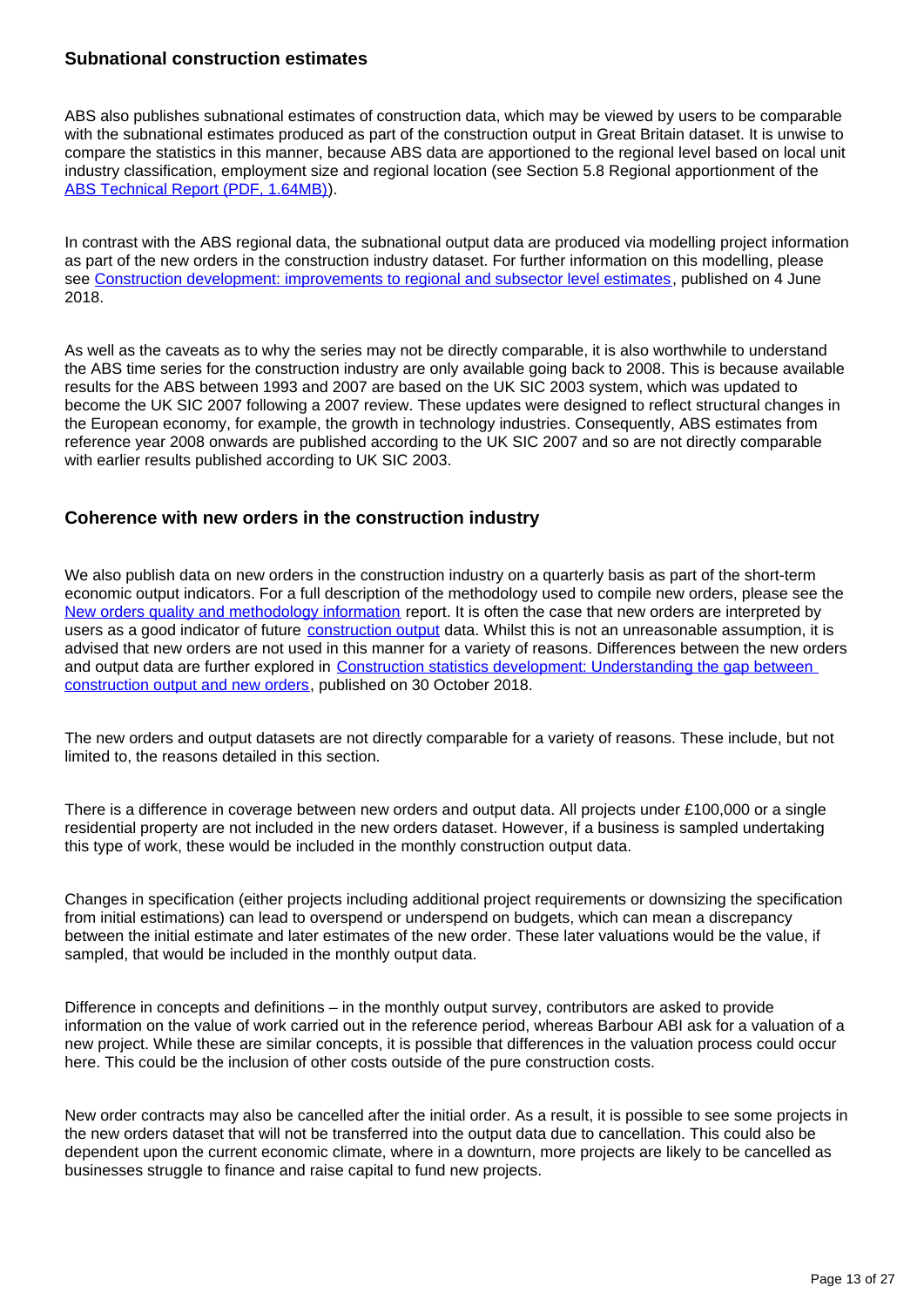#### **Subnational construction estimates**

ABS also publishes subnational estimates of construction data, which may be viewed by users to be comparable with the subnational estimates produced as part of the construction output in Great Britain dataset. It is unwise to compare the statistics in this manner, because ABS data are apportioned to the regional level based on local unit industry classification, employment size and regional location (see Section 5.8 Regional apportionment of the [ABS Technical Report \(PDF, 1.64MB\)](https://www.ons.gov.uk/file?uri=/businessindustryandtrade/business/businessservices/methodologies/annualbusinesssurveyabs/abstechnicalreport2014tcm77368873.pdf)).

In contrast with the ABS regional data, the subnational output data are produced via modelling project information as part of the new orders in the construction industry dataset. For further information on this modelling, please see [Construction development: improvements to regional and subsector level estimates](https://www.ons.gov.uk/businessindustryandtrade/constructionindustry/articles/constructiondevelopmentimprovementstoregionalandsubsectorlevelestimatesjune2018/2018-06-04), published on 4 June 2018.

As well as the caveats as to why the series may not be directly comparable, it is also worthwhile to understand the ABS time series for the construction industry are only available going back to 2008. This is because available results for the ABS between 1993 and 2007 are based on the UK SIC 2003 system, which was updated to become the UK SIC 2007 following a 2007 review. These updates were designed to reflect structural changes in the European economy, for example, the growth in technology industries. Consequently, ABS estimates from reference year 2008 onwards are published according to the UK SIC 2007 and so are not directly comparable with earlier results published according to UK SIC 2003.

#### **Coherence with new orders in the construction industry**

We also publish data on new orders in the construction industry on a quarterly basis as part of the short-term economic output indicators. For a full description of the methodology used to compile new orders, please see the [New orders quality and methodology information](https://www.ons.gov.uk/businessindustryandtrade/constructionindustry/methodologies/newordersinconstructionqmi) report. It is often the case that new orders are interpreted by users as a good indicator of future *construction output* data. Whilst this is not an unreasonable assumption, it is advised that new orders are not used in this manner for a variety of reasons. Differences between the new orders and output data are further explored in [Construction statistics development: Understanding the gap between](https://www.ons.gov.uk/businessindustryandtrade/constructionindustry/articles/constructionstatisticsdevelopmentimprovingtheunderstandingofnewordersintheconstructionindustryandthegapbetweenoutputandneworders/2018-10-30)  [construction output and new orders,](https://www.ons.gov.uk/businessindustryandtrade/constructionindustry/articles/constructionstatisticsdevelopmentimprovingtheunderstandingofnewordersintheconstructionindustryandthegapbetweenoutputandneworders/2018-10-30) published on 30 October 2018.

The new orders and output datasets are not directly comparable for a variety of reasons. These include, but not limited to, the reasons detailed in this section.

There is a difference in coverage between new orders and output data. All projects under £100,000 or a single residential property are not included in the new orders dataset. However, if a business is sampled undertaking this type of work, these would be included in the monthly construction output data.

Changes in specification (either projects including additional project requirements or downsizing the specification from initial estimations) can lead to overspend or underspend on budgets, which can mean a discrepancy between the initial estimate and later estimates of the new order. These later valuations would be the value, if sampled, that would be included in the monthly output data.

Difference in concepts and definitions – in the monthly output survey, contributors are asked to provide information on the value of work carried out in the reference period, whereas Barbour ABI ask for a valuation of a new project. While these are similar concepts, it is possible that differences in the valuation process could occur here. This could be the inclusion of other costs outside of the pure construction costs.

New order contracts may also be cancelled after the initial order. As a result, it is possible to see some projects in the new orders dataset that will not be transferred into the output data due to cancellation. This could also be dependent upon the current economic climate, where in a downturn, more projects are likely to be cancelled as businesses struggle to finance and raise capital to fund new projects.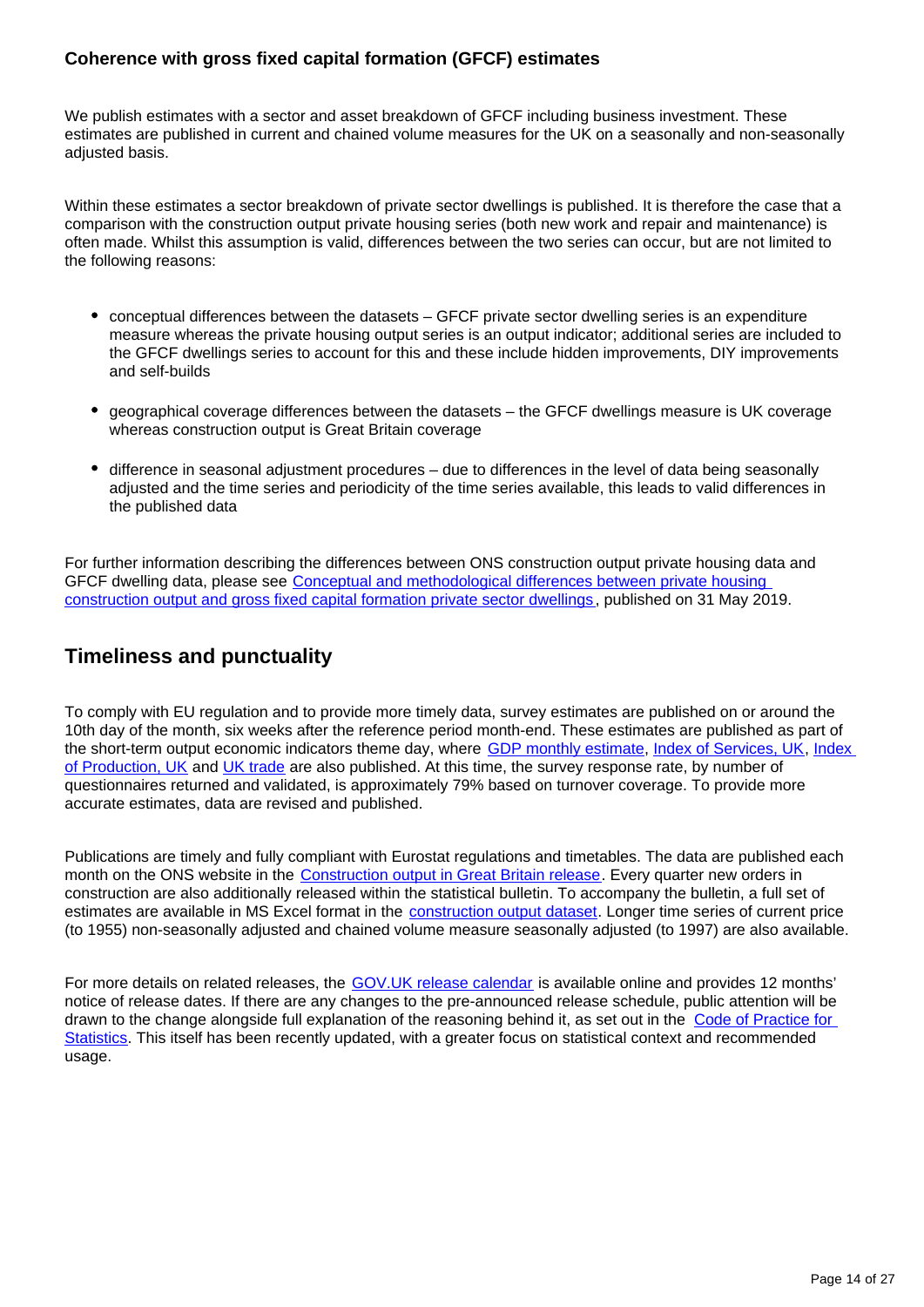#### **Coherence with gross fixed capital formation (GFCF) estimates**

We publish estimates with a sector and asset breakdown of GFCF including business investment. These estimates are published in current and chained volume measures for the UK on a seasonally and non-seasonally adjusted basis.

Within these estimates a sector breakdown of private sector dwellings is published. It is therefore the case that a comparison with the construction output private housing series (both new work and repair and maintenance) is often made. Whilst this assumption is valid, differences between the two series can occur, but are not limited to the following reasons:

- conceptual differences between the datasets GFCF private sector dwelling series is an expenditure measure whereas the private housing output series is an output indicator; additional series are included to the GFCF dwellings series to account for this and these include hidden improvements, DIY improvements and self-builds
- geographical coverage differences between the datasets the GFCF dwellings measure is UK coverage whereas construction output is Great Britain coverage
- difference in seasonal adjustment procedures due to differences in the level of data being seasonally adjusted and the time series and periodicity of the time series available, this leads to valid differences in the published data

For further information describing the differences between ONS construction output private housing data and GFCF dwelling data, please see [Conceptual and methodological differences between private housing](https://www.ons.gov.uk/releases/conceptualandmethodologicaldifferencesbetweenprivatehousingconstructionoutputandgfcfprivatesectordwellings)  [construction output and gross fixed capital formation private sector dwellings](https://www.ons.gov.uk/releases/conceptualandmethodologicaldifferencesbetweenprivatehousingconstructionoutputandgfcfprivatesectordwellings) , published on 31 May 2019.

# **Timeliness and punctuality**

To comply with EU regulation and to provide more timely data, survey estimates are published on or around the 10th day of the month, six weeks after the reference period month-end. These estimates are published as part of the short-term output economic indicators theme day, where [GDP monthly estimate](https://www.ons.gov.uk/economy/grossdomesticproductgdp/bulletins/gdpmonthlyestimateuk/previousReleases), [Index of Services, UK,](https://www.ons.gov.uk/economy/economicoutputandproductivity/output/bulletins/indexofservices/previousReleases) Index [of Production, UK](https://www.ons.gov.uk/economy/economicoutputandproductivity/output/bulletins/indexofproduction/previousReleases) and [UK trade](https://www.ons.gov.uk/economy/nationalaccounts/balanceofpayments/bulletins/uktrade/previousReleases) are also published. At this time, the survey response rate, by number of questionnaires returned and validated, is approximately 79% based on turnover coverage. To provide more accurate estimates, data are revised and published.

Publications are timely and fully compliant with Eurostat regulations and timetables. The data are published each month on the ONS website in the [Construction output in Great Britain release.](https://www.ons.gov.uk/businessindustryandtrade/constructionindustry/bulletins/constructionoutputingreatbritain/previousReleases) Every quarter new orders in construction are also additionally released within the statistical bulletin. To accompany the bulletin, a full set of estimates are available in MS Excel format in the [construction output dataset](https://www.ons.gov.uk/businessindustryandtrade/constructionindustry/datasets/outputintheconstructionindustry). Longer time series of current price (to 1955) non-seasonally adjusted and chained volume measure seasonally adjusted (to 1997) are also available.

For more details on related releases, the [GOV.UK release calendar](https://www.gov.uk/government/statistics/announcements) is available online and provides 12 months' notice of release dates. If there are any changes to the pre-announced release schedule, public attention will be drawn to the change alongside full explanation of the reasoning behind it, as set out in the [Code of Practice for](https://www.statisticsauthority.gov.uk/code-of-practice/)  [Statistics](https://www.statisticsauthority.gov.uk/code-of-practice/). This itself has been recently updated, with a greater focus on statistical context and recommended usage.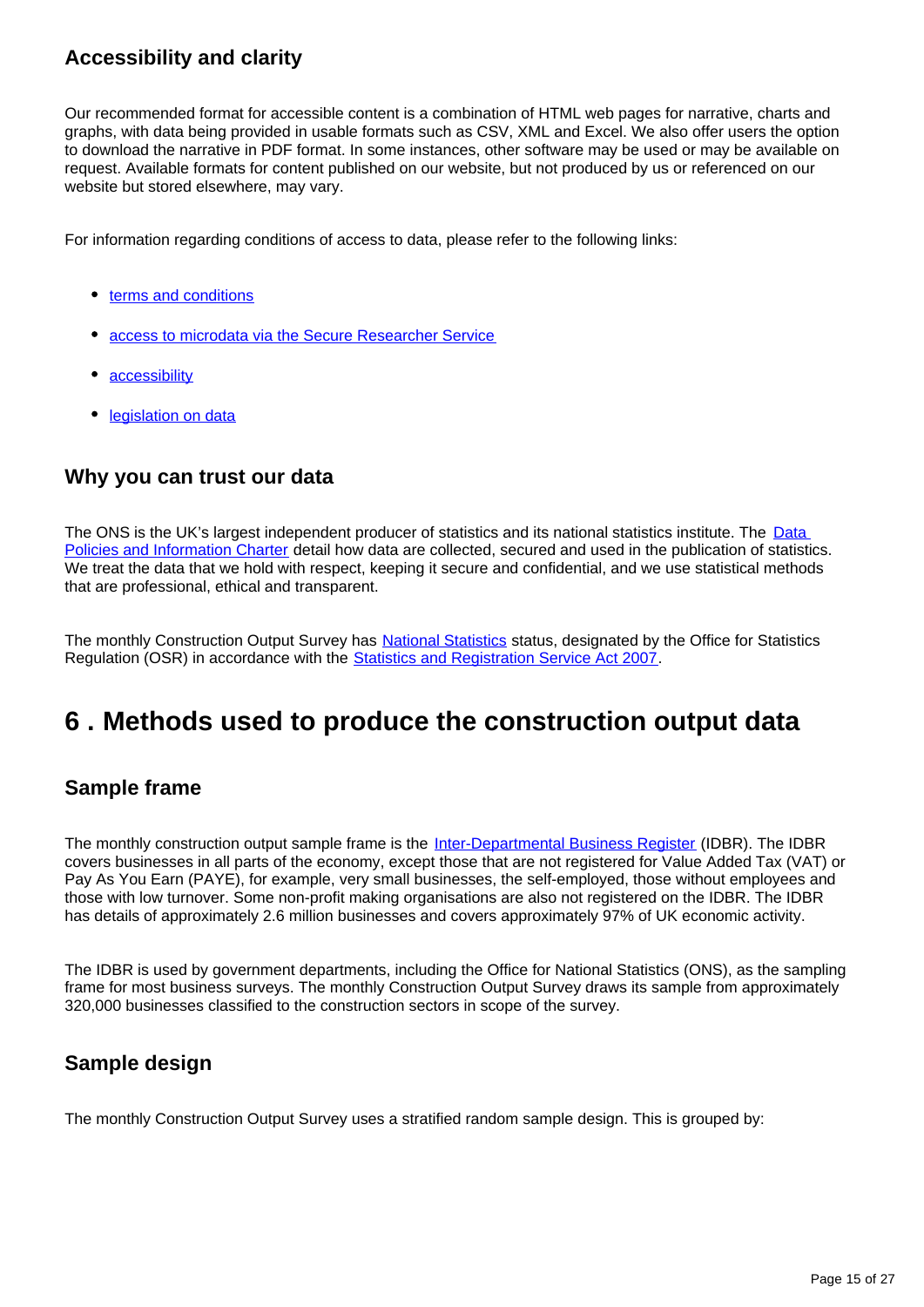# **Accessibility and clarity**

Our recommended format for accessible content is a combination of HTML web pages for narrative, charts and graphs, with data being provided in usable formats such as CSV, XML and Excel. We also offer users the option to download the narrative in PDF format. In some instances, other software may be used or may be available on request. Available formats for content published on our website, but not produced by us or referenced on our website but stored elsewhere, may vary.

For information regarding conditions of access to data, please refer to the following links:

- [terms and conditions](https://www.ons.gov.uk/help/termsandconditions)
- [access to microdata via the Secure Researcher Service](https://www.ons.gov.uk/aboutus/whatwedo/paidservices/virtualmicrodatalaboratoryvml)
- **[accessibility](https://www.ons.gov.uk/help/accessibility)**
- **•** [legislation on data](https://www.ons.gov.uk/aboutus/transparencyandgovernance/onsdatapolicies/legislationondata)

## **Why you can trust our data**

The ONS is the UK's largest independent producer of statistics and its national statistics institute. The Data [Policies and Information Charter](https://www.ons.gov.uk/aboutus/transparencyandgovernance/onsdatapolicies) detail how data are collected, secured and used in the publication of statistics. We treat the data that we hold with respect, keeping it secure and confidential, and we use statistical methods that are professional, ethical and transparent.

The monthly Construction Output Survey has [National Statistics](https://www.statisticsauthority.gov.uk/about-the-authority/uk-statistical-system/types-of-official-statistics/) status, designated by the Office for Statistics Regulation (OSR) in accordance with the [Statistics and Registration Service Act 2007](https://www.statisticsauthority.gov.uk/about-the-authority/uk-statistical-system/legislation/key-legislative-documents/).

# <span id="page-14-0"></span>**6 . Methods used to produce the construction output data**

# **Sample frame**

The monthly construction output sample frame is the [Inter-Departmental Business Register](https://www.ons.gov.uk/aboutus/whatwedo/paidservices/interdepartmentalbusinessregisteridbr) (IDBR). The IDBR covers businesses in all parts of the economy, except those that are not registered for Value Added Tax (VAT) or Pay As You Earn (PAYE), for example, very small businesses, the self-employed, those without employees and those with low turnover. Some non-profit making organisations are also not registered on the IDBR. The IDBR has details of approximately 2.6 million businesses and covers approximately 97% of UK economic activity.

The IDBR is used by government departments, including the Office for National Statistics (ONS), as the sampling frame for most business surveys. The monthly Construction Output Survey draws its sample from approximately 320,000 businesses classified to the construction sectors in scope of the survey.

# **Sample design**

The monthly Construction Output Survey uses a stratified random sample design. This is grouped by: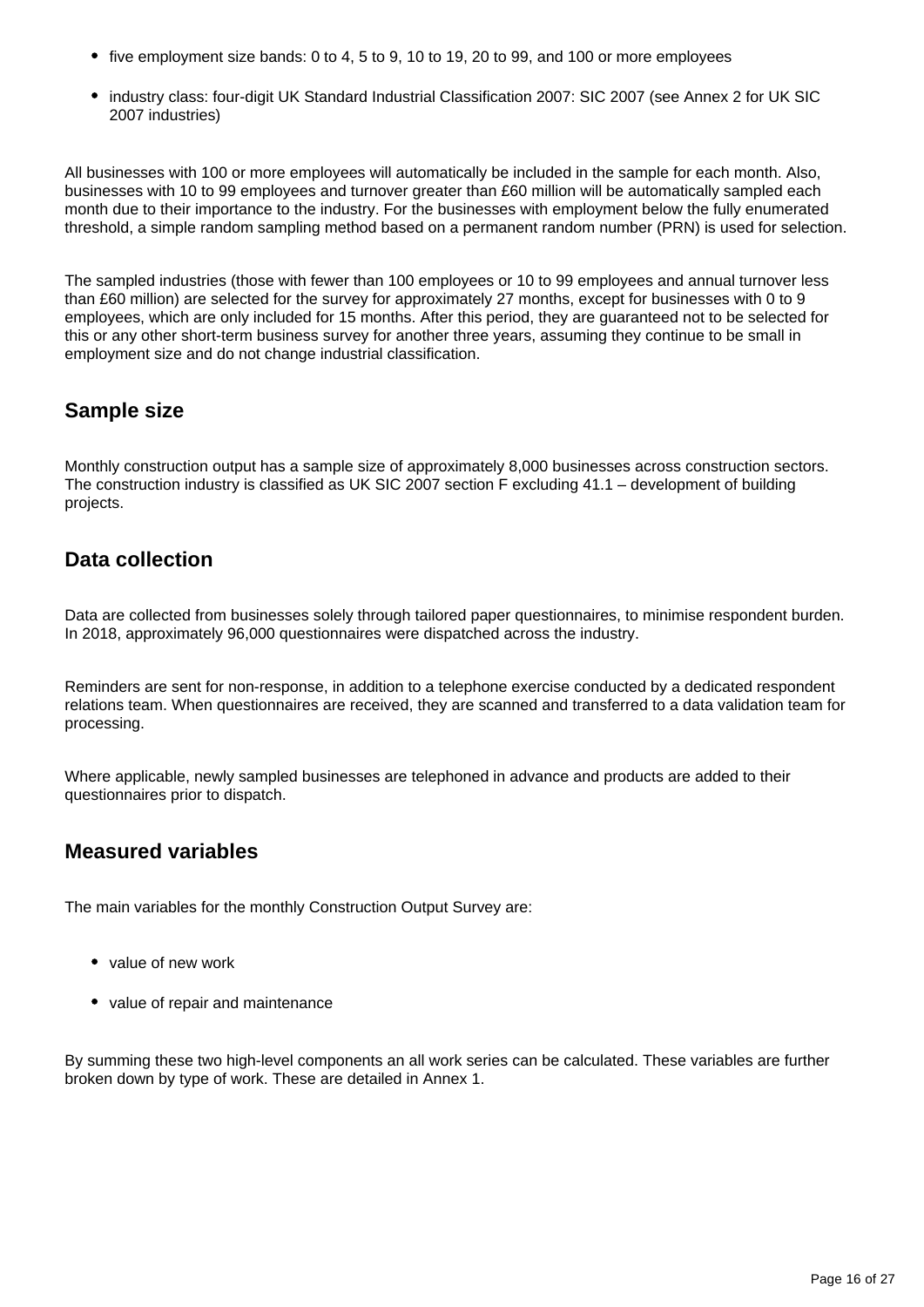- five employment size bands: 0 to 4, 5 to 9, 10 to 19, 20 to 99, and 100 or more employees
- industry class: four-digit UK Standard Industrial Classification 2007: SIC 2007 (see Annex 2 for UK SIC 2007 industries)

All businesses with 100 or more employees will automatically be included in the sample for each month. Also, businesses with 10 to 99 employees and turnover greater than £60 million will be automatically sampled each month due to their importance to the industry. For the businesses with employment below the fully enumerated threshold, a simple random sampling method based on a permanent random number (PRN) is used for selection.

The sampled industries (those with fewer than 100 employees or 10 to 99 employees and annual turnover less than £60 million) are selected for the survey for approximately 27 months, except for businesses with 0 to 9 employees, which are only included for 15 months. After this period, they are guaranteed not to be selected for this or any other short-term business survey for another three years, assuming they continue to be small in employment size and do not change industrial classification.

## **Sample size**

Monthly construction output has a sample size of approximately 8,000 businesses across construction sectors. The construction industry is classified as UK SIC 2007 section F excluding 41.1 – development of building projects.

# **Data collection**

Data are collected from businesses solely through tailored paper questionnaires, to minimise respondent burden. In 2018, approximately 96,000 questionnaires were dispatched across the industry.

Reminders are sent for non-response, in addition to a telephone exercise conducted by a dedicated respondent relations team. When questionnaires are received, they are scanned and transferred to a data validation team for processing.

Where applicable, newly sampled businesses are telephoned in advance and products are added to their questionnaires prior to dispatch.

# **Measured variables**

The main variables for the monthly Construction Output Survey are:

- value of new work
- value of repair and maintenance

By summing these two high-level components an all work series can be calculated. These variables are further broken down by type of work. These are detailed in Annex 1.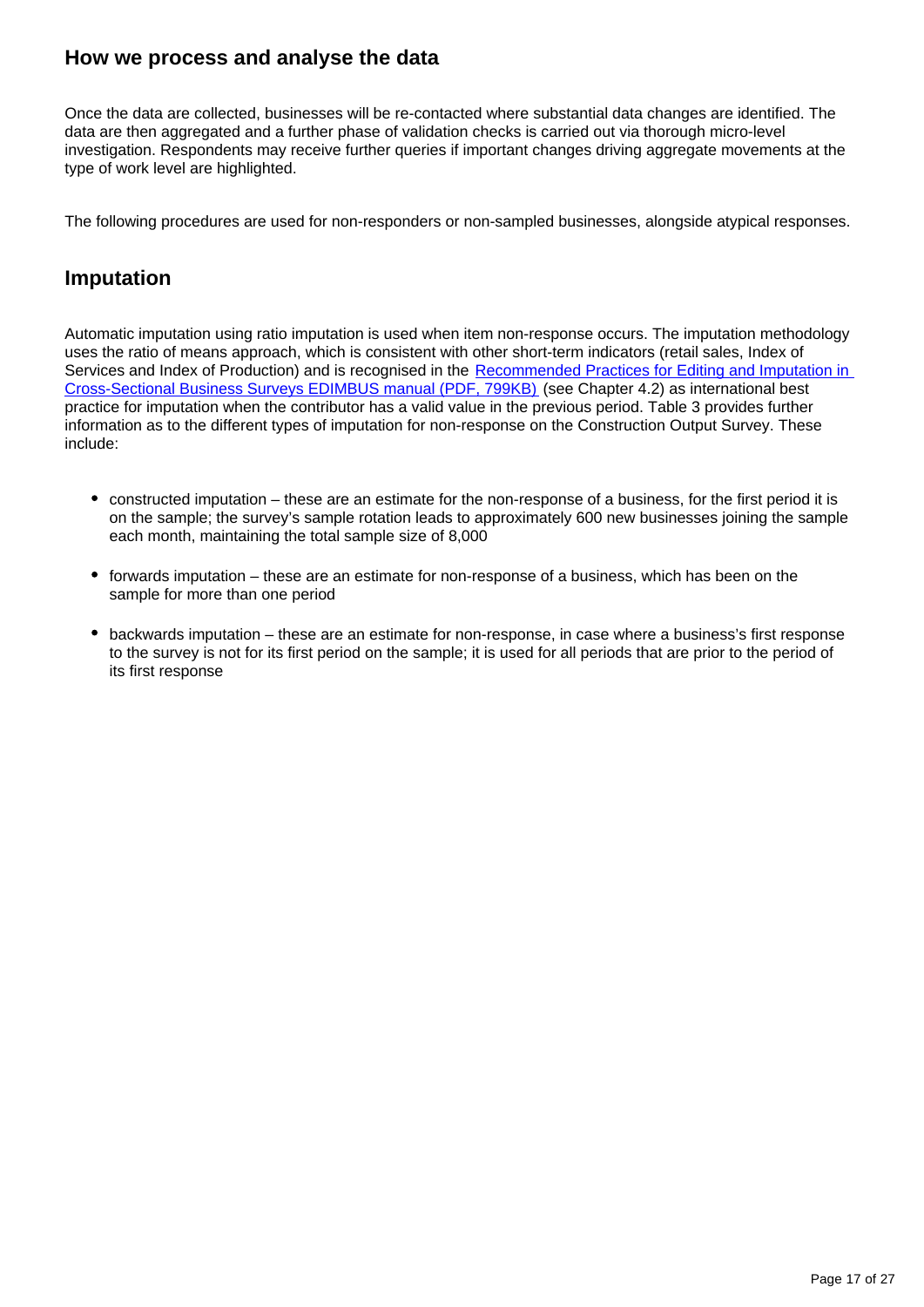## **How we process and analyse the data**

Once the data are collected, businesses will be re-contacted where substantial data changes are identified. The data are then aggregated and a further phase of validation checks is carried out via thorough micro-level investigation. Respondents may receive further queries if important changes driving aggregate movements at the type of work level are highlighted.

The following procedures are used for non-responders or non-sampled businesses, alongside atypical responses.

### **Imputation**

Automatic imputation using ratio imputation is used when item non-response occurs. The imputation methodology uses the ratio of means approach, which is consistent with other short-term indicators (retail sales, Index of Services and Index of Production) and is recognised in the Recommended Practices for Editing and Imputation in [Cross-Sectional Business Surveys EDIMBUS manual \(PDF, 799KB\)](http://ec.europa.eu/eurostat/documents/64157/4374310/30-Recommended+Practices-for-editing-and-imputation-in-cross-sectional-business-surveys-2008.pdf) (see Chapter 4.2) as international best practice for imputation when the contributor has a valid value in the previous period. Table 3 provides further information as to the different types of imputation for non-response on the Construction Output Survey. These include:

- constructed imputation these are an estimate for the non-response of a business, for the first period it is on the sample; the survey's sample rotation leads to approximately 600 new businesses joining the sample each month, maintaining the total sample size of 8,000
- forwards imputation these are an estimate for non-response of a business, which has been on the sample for more than one period
- backwards imputation these are an estimate for non-response, in case where a business's first response to the survey is not for its first period on the sample; it is used for all periods that are prior to the period of its first response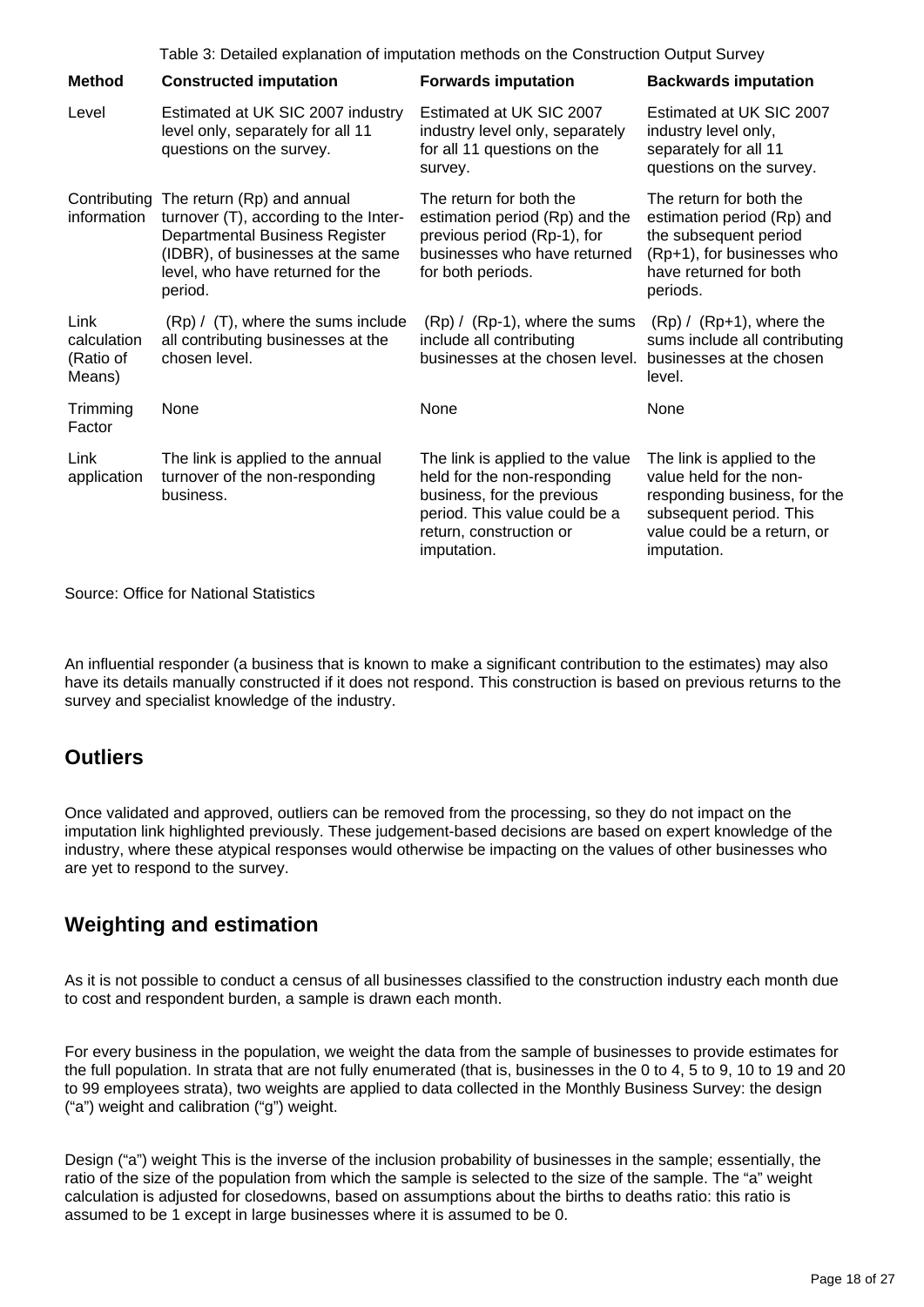|                                            | Table 3: Detailed explanation of imputation methods on the Construction Output Survey                                                                                                                  |                                                                                                                                                                          |                                                                                                                                                                |  |
|--------------------------------------------|--------------------------------------------------------------------------------------------------------------------------------------------------------------------------------------------------------|--------------------------------------------------------------------------------------------------------------------------------------------------------------------------|----------------------------------------------------------------------------------------------------------------------------------------------------------------|--|
| <b>Method</b>                              | <b>Constructed imputation</b>                                                                                                                                                                          | <b>Forwards imputation</b>                                                                                                                                               | <b>Backwards imputation</b>                                                                                                                                    |  |
| Level                                      | Estimated at UK SIC 2007 industry<br>level only, separately for all 11<br>questions on the survey.                                                                                                     | Estimated at UK SIC 2007<br>industry level only, separately<br>for all 11 questions on the<br>survey.                                                                    | Estimated at UK SIC 2007<br>industry level only,<br>separately for all 11<br>questions on the survey.                                                          |  |
| information                                | Contributing The return (Rp) and annual<br>turnover (T), according to the Inter-<br>Departmental Business Register<br>(IDBR), of businesses at the same<br>level, who have returned for the<br>period. | The return for both the<br>estimation period (Rp) and the<br>previous period (Rp-1), for<br>businesses who have returned<br>for both periods.                            | The return for both the<br>estimation period (Rp) and<br>the subsequent period<br>(Rp+1), for businesses who<br>have returned for both<br>periods.             |  |
| Link<br>calculation<br>(Ratio of<br>Means) | $(Rp)$ / $(T)$ , where the sums include<br>all contributing businesses at the<br>chosen level.                                                                                                         | $(Rp) / (Rp-1)$ , where the sums<br>include all contributing<br>businesses at the chosen level.                                                                          | $(Rp) / (Rp+1)$ , where the<br>sums include all contributing<br>businesses at the chosen<br>level.                                                             |  |
| Trimming<br>Factor                         | None                                                                                                                                                                                                   | None                                                                                                                                                                     | None                                                                                                                                                           |  |
| Link<br>application                        | The link is applied to the annual<br>turnover of the non-responding<br>business.                                                                                                                       | The link is applied to the value<br>held for the non-responding<br>business, for the previous<br>period. This value could be a<br>return, construction or<br>imputation. | The link is applied to the<br>value held for the non-<br>responding business, for the<br>subsequent period. This<br>value could be a return, or<br>imputation. |  |

Source: Office for National Statistics

An influential responder (a business that is known to make a significant contribution to the estimates) may also have its details manually constructed if it does not respond. This construction is based on previous returns to the survey and specialist knowledge of the industry.

# **Outliers**

Once validated and approved, outliers can be removed from the processing, so they do not impact on the imputation link highlighted previously. These judgement-based decisions are based on expert knowledge of the industry, where these atypical responses would otherwise be impacting on the values of other businesses who are yet to respond to the survey.

# **Weighting and estimation**

As it is not possible to conduct a census of all businesses classified to the construction industry each month due to cost and respondent burden, a sample is drawn each month.

For every business in the population, we weight the data from the sample of businesses to provide estimates for the full population. In strata that are not fully enumerated (that is, businesses in the 0 to 4, 5 to 9, 10 to 19 and 20 to 99 employees strata), two weights are applied to data collected in the Monthly Business Survey: the design ("a") weight and calibration ("g") weight.

Design ("a") weight This is the inverse of the inclusion probability of businesses in the sample; essentially, the ratio of the size of the population from which the sample is selected to the size of the sample. The "a" weight calculation is adjusted for closedowns, based on assumptions about the births to deaths ratio: this ratio is assumed to be 1 except in large businesses where it is assumed to be 0.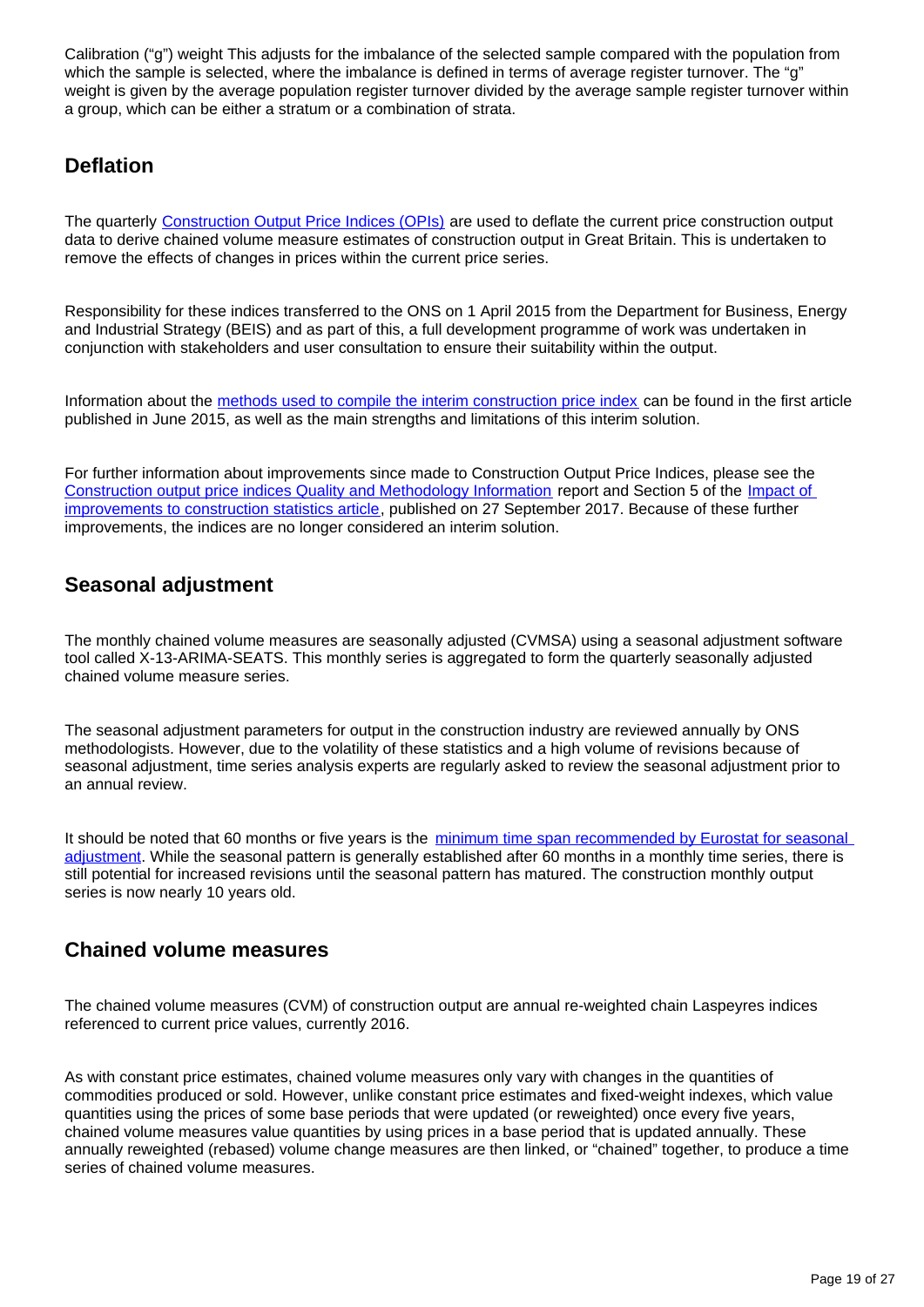Calibration ("g") weight This adjusts for the imbalance of the selected sample compared with the population from which the sample is selected, where the imbalance is defined in terms of average register turnover. The "g" weight is given by the average population register turnover divided by the average sample register turnover within a group, which can be either a stratum or a combination of strata.

# **Deflation**

The quarterly [Construction Output Price Indices \(OPIs\)](https://www.ons.gov.uk/businessindustryandtrade/constructionindustry/bulletins/constructionoutputpriceindicesopis/previousReleases) are used to deflate the current price construction output data to derive chained volume measure estimates of construction output in Great Britain. This is undertaken to remove the effects of changes in prices within the current price series.

Responsibility for these indices transferred to the ONS on 1 April 2015 from the Department for Business, Energy and Industrial Strategy (BEIS) and as part of this, a full development programme of work was undertaken in conjunction with stakeholders and user consultation to ensure their suitability within the output.

Information about the [methods used to compile the interim construction price index](https://www.ons.gov.uk/businessindustryandtrade/constructionindustry/articles/constructionoutputpriceindicesopis/2015-06-12) can be found in the first article published in June 2015, as well as the main strengths and limitations of this interim solution.

For further information about improvements since made to Construction Output Price Indices, please see the [Construction output price indices Quality and Methodology Information](https://www.ons.gov.uk/businessindustryandtrade/constructionindustry/methodologies/constructionoutputpriceindicesopisqmi) report and Section 5 of the [Impact of](https://www.ons.gov.uk/businessindustryandtrade/constructionindustry/articles/constructiondevelopment/impactofimprovementstoconstructionstatistics)  [improvements to construction statistics article](https://www.ons.gov.uk/businessindustryandtrade/constructionindustry/articles/constructiondevelopment/impactofimprovementstoconstructionstatistics), published on 27 September 2017. Because of these further improvements, the indices are no longer considered an interim solution.

# **Seasonal adjustment**

The monthly chained volume measures are seasonally adjusted (CVMSA) using a seasonal adjustment software tool called X-13-ARIMA-SEATS. This monthly series is aggregated to form the quarterly seasonally adjusted chained volume measure series.

The seasonal adjustment parameters for output in the construction industry are reviewed annually by ONS methodologists. However, due to the volatility of these statistics and a high volume of revisions because of seasonal adjustment, time series analysis experts are regularly asked to review the seasonal adjustment prior to an annual review.

It should be noted that 60 months or five years is the minimum time span recommended by Eurostat for seasonal [adjustment](https://ec.europa.eu/eurostat/web/research-methodology/seasonal-adjustment). While the seasonal pattern is generally established after 60 months in a monthly time series, there is still potential for increased revisions until the seasonal pattern has matured. The construction monthly output series is now nearly 10 years old.

# **Chained volume measures**

The chained volume measures (CVM) of construction output are annual re-weighted chain Laspeyres indices referenced to current price values, currently 2016.

As with constant price estimates, chained volume measures only vary with changes in the quantities of commodities produced or sold. However, unlike constant price estimates and fixed-weight indexes, which value quantities using the prices of some base periods that were updated (or reweighted) once every five years, chained volume measures value quantities by using prices in a base period that is updated annually. These annually reweighted (rebased) volume change measures are then linked, or "chained" together, to produce a time series of chained volume measures.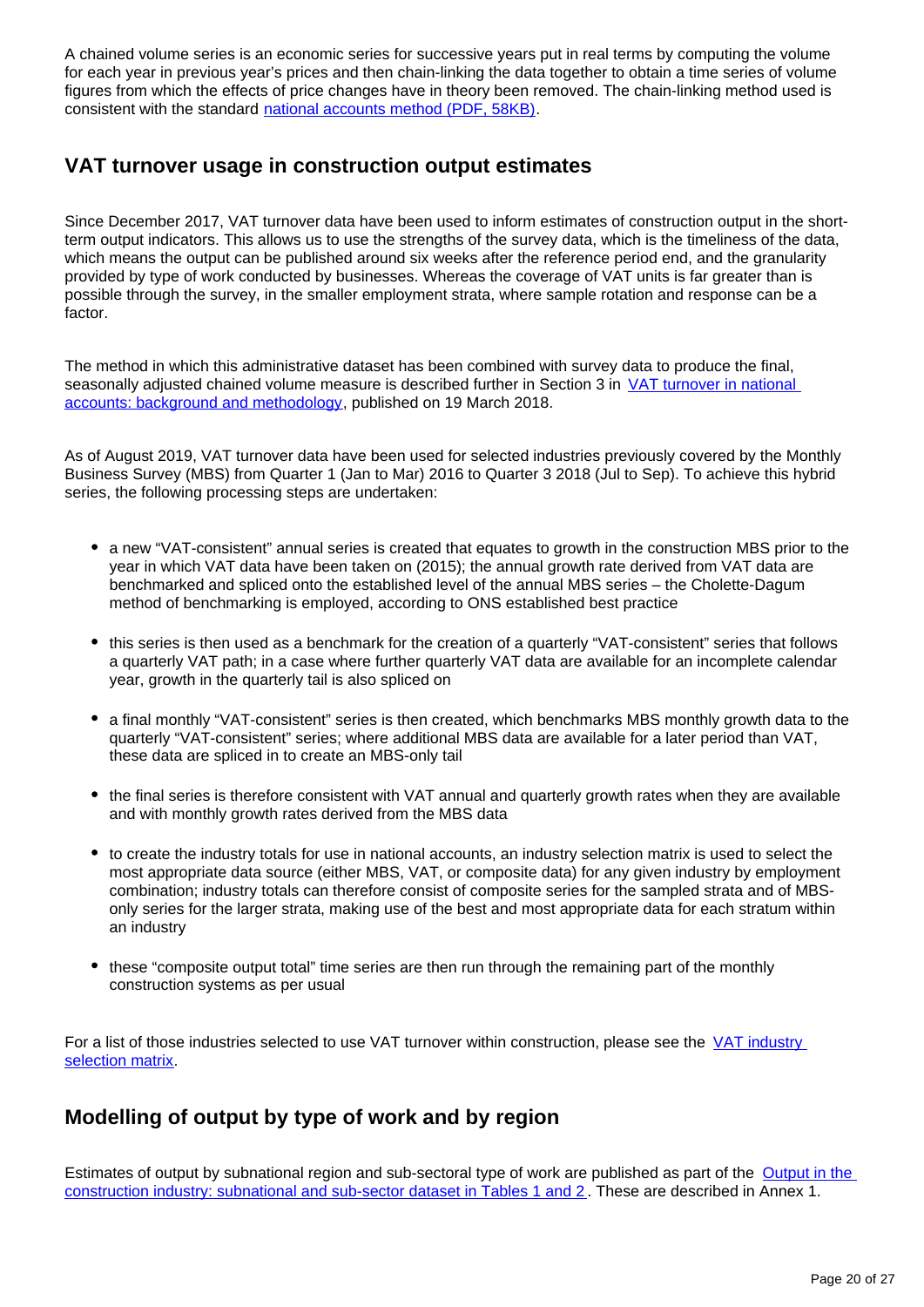A chained volume series is an economic series for successive years put in real terms by computing the volume for each year in previous year's prices and then chain-linking the data together to obtain a time series of volume figures from which the effects of price changes have in theory been removed. The chain-linking method used is consistent with the standard [national accounts method \(PDF, 58KB\)](http://www.ons.gov.uk/ons/rel/elmr/economic-trends--discontinued-/no--630--may-2006/methodological-note--annual-chain-linking.pdf).

# **VAT turnover usage in construction output estimates**

Since December 2017, VAT turnover data have been used to inform estimates of construction output in the shortterm output indicators. This allows us to use the strengths of the survey data, which is the timeliness of the data, which means the output can be published around six weeks after the reference period end, and the granularity provided by type of work conducted by businesses. Whereas the coverage of VAT units is far greater than is possible through the survey, in the smaller employment strata, where sample rotation and response can be a factor.

The method in which this administrative dataset has been combined with survey data to produce the final, seasonally adjusted chained volume measure is described further in Section 3 in VAT turnover in national [accounts: background and methodology](https://www.ons.gov.uk/economy/grossdomesticproductgdp/methodologies/vatturnoverdatainnationalaccountsbackgroundandmethodology), published on 19 March 2018.

As of August 2019, VAT turnover data have been used for selected industries previously covered by the Monthly Business Survey (MBS) from Quarter 1 (Jan to Mar) 2016 to Quarter 3 2018 (Jul to Sep). To achieve this hybrid series, the following processing steps are undertaken:

- a new "VAT-consistent" annual series is created that equates to growth in the construction MBS prior to the year in which VAT data have been taken on (2015); the annual growth rate derived from VAT data are benchmarked and spliced onto the established level of the annual MBS series – the Cholette-Dagum method of benchmarking is employed, according to ONS established best practice
- this series is then used as a benchmark for the creation of a quarterly "VAT-consistent" series that follows a quarterly VAT path; in a case where further quarterly VAT data are available for an incomplete calendar year, growth in the quarterly tail is also spliced on
- a final monthly "VAT-consistent" series is then created, which benchmarks MBS monthly growth data to the quarterly "VAT-consistent" series; where additional MBS data are available for a later period than VAT, these data are spliced in to create an MBS-only tail
- the final series is therefore consistent with VAT annual and quarterly growth rates when they are available and with monthly growth rates derived from the MBS data
- to create the industry totals for use in national accounts, an industry selection matrix is used to select the most appropriate data source (either MBS, VAT, or composite data) for any given industry by employment combination; industry totals can therefore consist of composite series for the sampled strata and of MBSonly series for the larger strata, making use of the best and most appropriate data for each stratum within an industry
- these "composite output total" time series are then run through the remaining part of the monthly construction systems as per usual

For a list of those industries selected to use VAT turnover within construction, please see the VAT industry [selection matrix](https://www.ons.gov.uk/economy/grossdomesticproductgdp/datasets/vatindustryselectionmatrix).

# **Modelling of output by type of work and by region**

Estimates of output by subnational region and sub-sectoral type of work are published as part of the [Output in the](https://www.ons.gov.uk/businessindustryandtrade/constructionindustry/datasets/outputintheconstructionindustrysubnationalandsubsector)  [construction industry: subnational and sub-sector dataset in Tables 1 and 2](https://www.ons.gov.uk/businessindustryandtrade/constructionindustry/datasets/outputintheconstructionindustrysubnationalandsubsector) . These are described in Annex 1.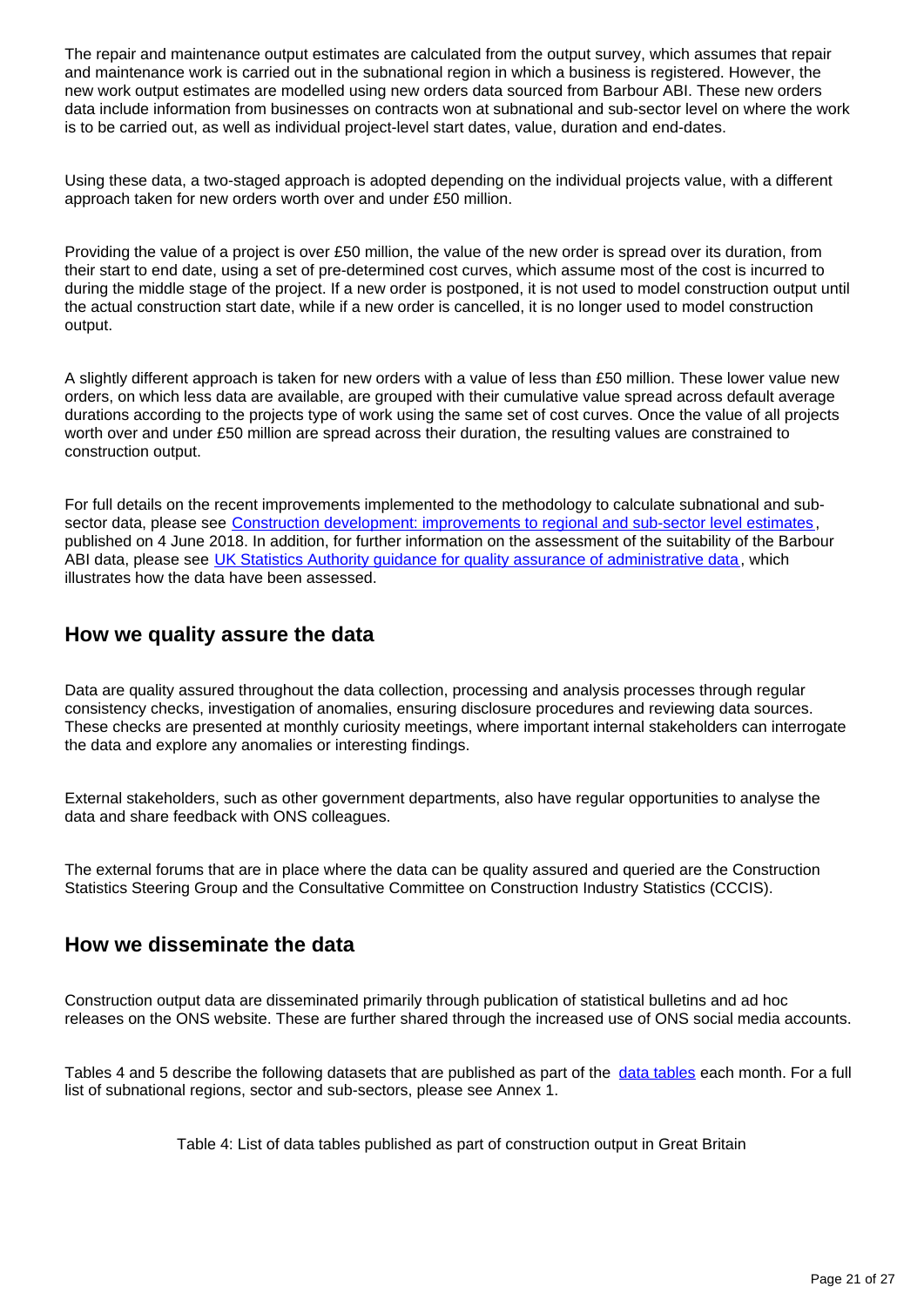The repair and maintenance output estimates are calculated from the output survey, which assumes that repair and maintenance work is carried out in the subnational region in which a business is registered. However, the new work output estimates are modelled using new orders data sourced from Barbour ABI. These new orders data include information from businesses on contracts won at subnational and sub-sector level on where the work is to be carried out, as well as individual project-level start dates, value, duration and end-dates.

Using these data, a two-staged approach is adopted depending on the individual projects value, with a different approach taken for new orders worth over and under £50 million.

Providing the value of a project is over £50 million, the value of the new order is spread over its duration, from their start to end date, using a set of pre-determined cost curves, which assume most of the cost is incurred to during the middle stage of the project. If a new order is postponed, it is not used to model construction output until the actual construction start date, while if a new order is cancelled, it is no longer used to model construction output.

A slightly different approach is taken for new orders with a value of less than £50 million. These lower value new orders, on which less data are available, are grouped with their cumulative value spread across default average durations according to the projects type of work using the same set of cost curves. Once the value of all projects worth over and under £50 million are spread across their duration, the resulting values are constrained to construction output.

For full details on the recent improvements implemented to the methodology to calculate subnational and sub-sector data, please see [Construction development: improvements to regional and sub-sector level estimates](https://www.ons.gov.uk/businessindustryandtrade/constructionindustry/articles/constructiondevelopmentimprovementstoregionalandsubsectorlevelestimatesjune2018/2018-06-04) , published on 4 June 2018. In addition, for further information on the assessment of the suitability of the Barbour ABI data, please see [UK Statistics Authority guidance for quality assurance of administrative data](https://www.ons.gov.uk/economy/economicoutputandproductivity/output/methodologies/qualityassuranceofadministrativedatausedinconstructionstatistics), which illustrates how the data have been assessed.

### **How we quality assure the data**

Data are quality assured throughout the data collection, processing and analysis processes through regular consistency checks, investigation of anomalies, ensuring disclosure procedures and reviewing data sources. These checks are presented at monthly curiosity meetings, where important internal stakeholders can interrogate the data and explore any anomalies or interesting findings.

External stakeholders, such as other government departments, also have regular opportunities to analyse the data and share feedback with ONS colleagues.

The external forums that are in place where the data can be quality assured and queried are the Construction Statistics Steering Group and the Consultative Committee on Construction Industry Statistics (CCCIS).

### **How we disseminate the data**

Construction output data are disseminated primarily through publication of statistical bulletins and ad hoc releases on the ONS website. These are further shared through the increased use of ONS social media accounts.

Tables 4 and 5 describe the following datasets that are published as part of the [data tables](https://www.ons.gov.uk/businessindustryandtrade/constructionindustry/datalist?filter=datasets) each month. For a full list of subnational regions, sector and sub-sectors, please see Annex 1.

Table 4: List of data tables published as part of construction output in Great Britain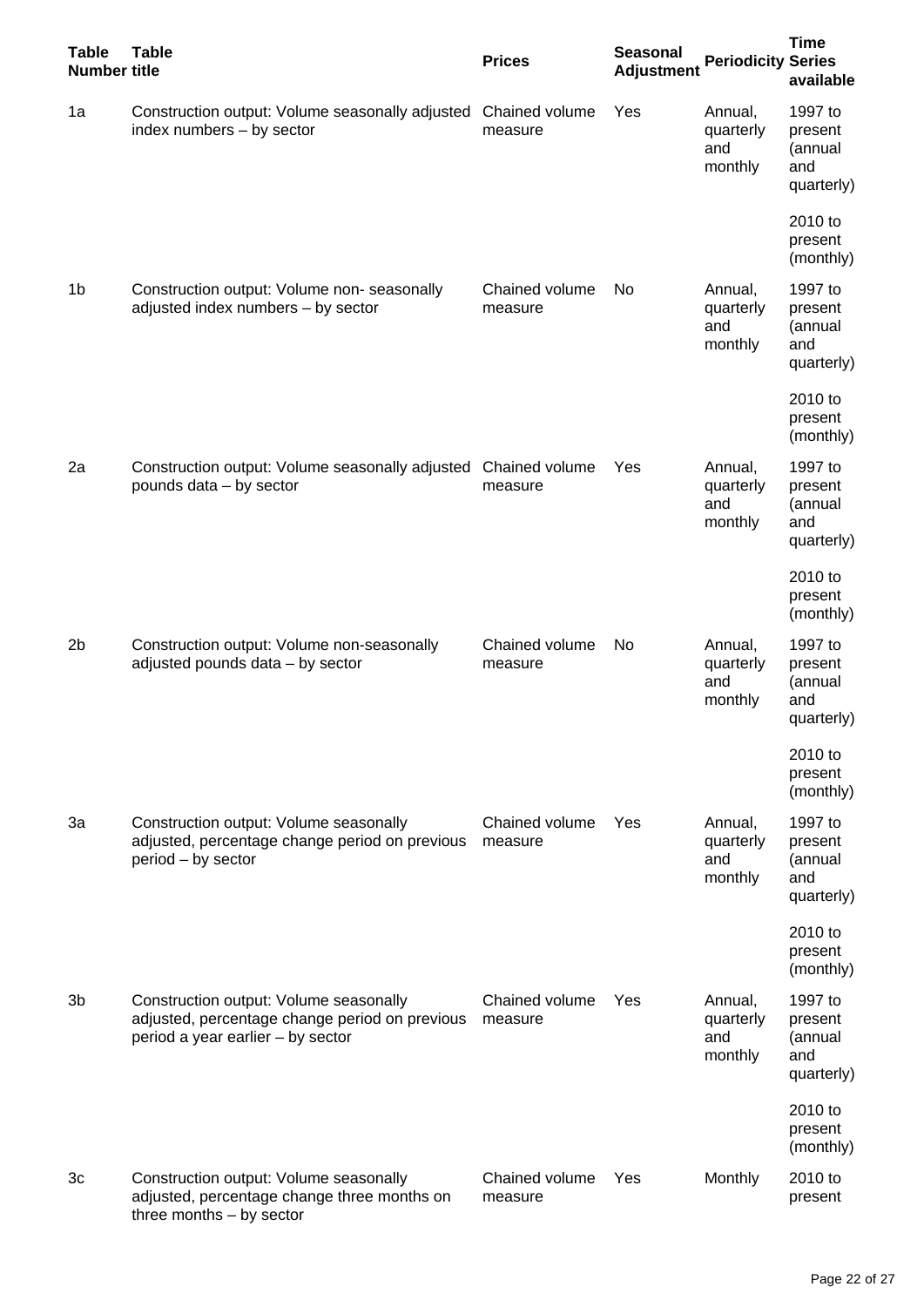| <b>Table</b><br><b>Number title</b> | <b>Table</b>                                                                                                                  | <b>Prices</b>             | <b>Seasonal</b><br><b>Adjustment</b> | <b>Periodicity Series</b>              | <b>Time</b><br>available                           |
|-------------------------------------|-------------------------------------------------------------------------------------------------------------------------------|---------------------------|--------------------------------------|----------------------------------------|----------------------------------------------------|
| 1a                                  | Construction output: Volume seasonally adjusted<br>index numbers $-$ by sector                                                | Chained volume<br>measure | Yes                                  | Annual,<br>quarterly<br>and<br>monthly | 1997 to<br>present<br>(annual<br>and<br>quarterly) |
|                                     |                                                                                                                               |                           |                                      |                                        | 2010 to<br>present<br>(monthly)                    |
| 1 <sub>b</sub>                      | Construction output: Volume non-seasonally<br>adjusted index numbers - by sector                                              | Chained volume<br>measure | No.                                  | Annual,<br>quarterly<br>and<br>monthly | 1997 to<br>present<br>(annual<br>and<br>quarterly) |
|                                     |                                                                                                                               |                           |                                      |                                        | 2010 to<br>present<br>(monthly)                    |
| 2a                                  | Construction output: Volume seasonally adjusted<br>pounds data - by sector                                                    | Chained volume<br>measure | Yes                                  | Annual,<br>quarterly<br>and<br>monthly | 1997 to<br>present<br>(annual<br>and<br>quarterly) |
|                                     |                                                                                                                               |                           |                                      |                                        | 2010 to<br>present<br>(monthly)                    |
| 2b                                  | Construction output: Volume non-seasonally<br>adjusted pounds data - by sector                                                | Chained volume<br>measure | No.                                  | Annual,<br>quarterly<br>and<br>monthly | 1997 to<br>present<br>(annual<br>and<br>quarterly) |
|                                     |                                                                                                                               |                           |                                      |                                        | 2010 to<br>present<br>(monthly)                    |
| 3a                                  | Construction output: Volume seasonally<br>adjusted, percentage change period on previous<br>period - by sector                | Chained volume<br>measure | Yes                                  | Annual,<br>quarterly<br>and<br>monthly | 1997 to<br>present<br>(annual<br>and<br>quarterly) |
|                                     |                                                                                                                               |                           |                                      |                                        | 2010 to<br>present<br>(monthly)                    |
| 3b                                  | Construction output: Volume seasonally<br>adjusted, percentage change period on previous<br>period a year earlier - by sector | Chained volume<br>measure | Yes                                  | Annual,<br>quarterly<br>and<br>monthly | 1997 to<br>present<br>(annual<br>and<br>quarterly) |
|                                     |                                                                                                                               |                           |                                      |                                        | 2010 to<br>present<br>(monthly)                    |
| 3c                                  | Construction output: Volume seasonally<br>adjusted, percentage change three months on<br>three months $-$ by sector           | Chained volume<br>measure | Yes                                  | Monthly                                | 2010 to<br>present                                 |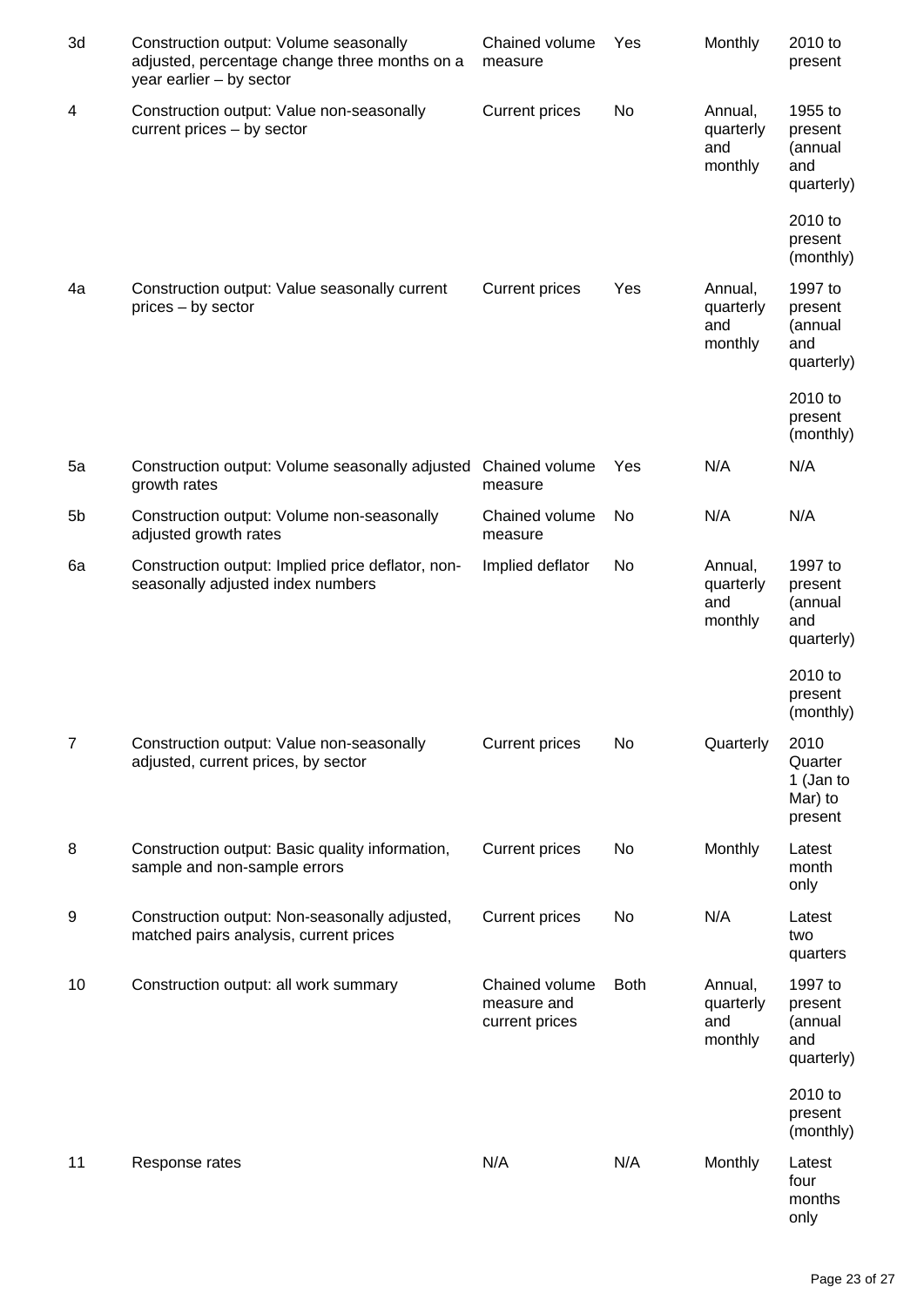| 3d             | Construction output: Volume seasonally<br>adjusted, percentage change three months on a<br>year earlier - by sector | Chained volume<br>measure                       | Yes         | Monthly                                | 2010 to<br>present                                 |
|----------------|---------------------------------------------------------------------------------------------------------------------|-------------------------------------------------|-------------|----------------------------------------|----------------------------------------------------|
| $\overline{4}$ | Construction output: Value non-seasonally<br>current prices – by sector                                             | <b>Current prices</b>                           | No          | Annual,<br>quarterly<br>and<br>monthly | 1955 to<br>present<br>(annual<br>and<br>quarterly) |
|                |                                                                                                                     |                                                 |             |                                        | 2010 to<br>present<br>(monthly)                    |
| 4a             | Construction output: Value seasonally current<br>prices - by sector                                                 | <b>Current prices</b>                           | Yes         | Annual,<br>quarterly<br>and<br>monthly | 1997 to<br>present<br>(annual<br>and<br>quarterly) |
|                |                                                                                                                     |                                                 |             |                                        | 2010 to<br>present<br>(monthly)                    |
| 5a             | Construction output: Volume seasonally adjusted<br>growth rates                                                     | Chained volume<br>measure                       | Yes         | N/A                                    | N/A                                                |
| 5b             | Construction output: Volume non-seasonally<br>adjusted growth rates                                                 | Chained volume<br>measure                       | No          | N/A                                    | N/A                                                |
| 6a             | Construction output: Implied price deflator, non-<br>seasonally adjusted index numbers                              | Implied deflator                                | No          | Annual,<br>quarterly<br>and<br>monthly | 1997 to<br>present<br>(annual<br>and<br>quarterly) |
|                |                                                                                                                     |                                                 |             |                                        | 2010 to<br>present<br>(monthly)                    |
| $\overline{7}$ | Construction output: Value non-seasonally<br>adjusted, current prices, by sector                                    | <b>Current prices</b>                           | No          | Quarterly                              | 2010<br>Quarter<br>1 (Jan to<br>Mar) to<br>present |
| 8              | Construction output: Basic quality information,<br>sample and non-sample errors                                     | <b>Current prices</b>                           | No          | Monthly                                | Latest<br>month<br>only                            |
| 9              | Construction output: Non-seasonally adjusted,<br>matched pairs analysis, current prices                             | <b>Current prices</b>                           | No          | N/A                                    | Latest<br>two<br>quarters                          |
| 10             | Construction output: all work summary                                                                               | Chained volume<br>measure and<br>current prices | <b>Both</b> | Annual,<br>quarterly<br>and<br>monthly | 1997 to<br>present<br>(annual<br>and<br>quarterly) |
|                |                                                                                                                     |                                                 |             |                                        | 2010 to<br>present<br>(monthly)                    |
| 11             | Response rates                                                                                                      | N/A                                             | N/A         | Monthly                                | Latest<br>four<br>months<br>only                   |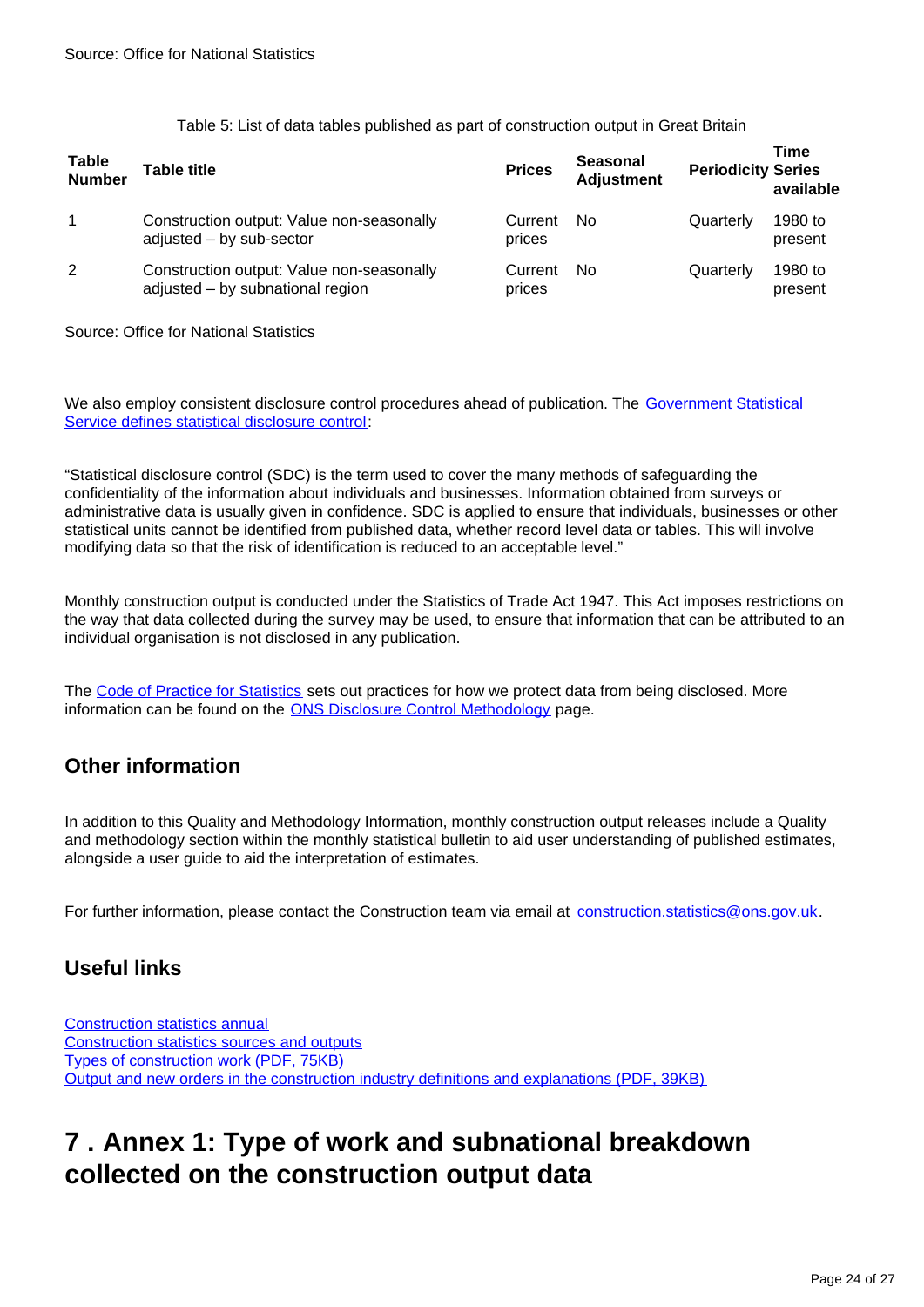Table 5: List of data tables published as part of construction output in Great Britain

| <b>Table</b><br><b>Number</b> | Table title                                                                   | <b>Prices</b>     | <b>Seasonal</b><br><b>Adjustment</b> | <b>Periodicity Series</b> | Time<br>available  |
|-------------------------------|-------------------------------------------------------------------------------|-------------------|--------------------------------------|---------------------------|--------------------|
| 1                             | Construction output: Value non-seasonally<br>adjusted - by sub-sector         | Current<br>prices | No.                                  | Quarterly                 | 1980 to<br>present |
| $\overline{2}$                | Construction output: Value non-seasonally<br>adjusted - by subnational region | Current<br>prices | No.                                  | Quarterly                 | 1980 to<br>present |

Source: Office for National Statistics

We also employ consistent disclosure control procedures ahead of publication. The Government Statistical [Service defines statistical disclosure control:](https://gss.civilservice.gov.uk/guidances/methodology/statistical-disclosure-control/)

"Statistical disclosure control (SDC) is the term used to cover the many methods of safeguarding the confidentiality of the information about individuals and businesses. Information obtained from surveys or administrative data is usually given in confidence. SDC is applied to ensure that individuals, businesses or other statistical units cannot be identified from published data, whether record level data or tables. This will involve modifying data so that the risk of identification is reduced to an acceptable level."

Monthly construction output is conducted under the Statistics of Trade Act 1947. This Act imposes restrictions on the way that data collected during the survey may be used, to ensure that information that can be attributed to an individual organisation is not disclosed in any publication.

The [Code of Practice for Statistics](https://www.statisticsauthority.gov.uk/code-of-practice/) sets out practices for how we protect data from being disclosed. More information can be found on the [ONS Disclosure Control Methodology](https://www.ons.gov.uk/methodology/methodologytopicsandstatisticalconcepts/disclosurecontrol) page.

# **Other information**

In addition to this Quality and Methodology Information, monthly construction output releases include a Quality and methodology section within the monthly statistical bulletin to aid user understanding of published estimates, alongside a user guide to aid the interpretation of estimates.

For further information, please contact the Construction team via email at construction.statistics@ons.gov.uk.

# **Useful links**

[Construction statistics annual](https://www.ons.gov.uk/businessindustryandtrade/constructionindustry/articles/constructionstatistics/number192018edition) [Construction statistics sources and outputs](https://www.ons.gov.uk/businessindustryandtrade/constructionindustry/methodologies/constructionstatisticssourcesandoutputs) [Types of construction work \(PDF, 75KB\)](https://www.ons.gov.uk/file?uri=/businessindustryandtrade/constructionindustry/methodologies/outputintheconstructionindustry/typeofconstructionworktcm77370117.pdf) [Output and new orders in the construction industry definitions and explanations \(PDF, 39KB\)](https://www.ons.gov.uk/file?uri=/businessindustryandtrade/constructionindustry/methodologies/outputintheconstructionindustry/definitionsandexplanationstcm77409330.doc)

# <span id="page-23-0"></span>**7 . Annex 1: Type of work and subnational breakdown collected on the construction output data**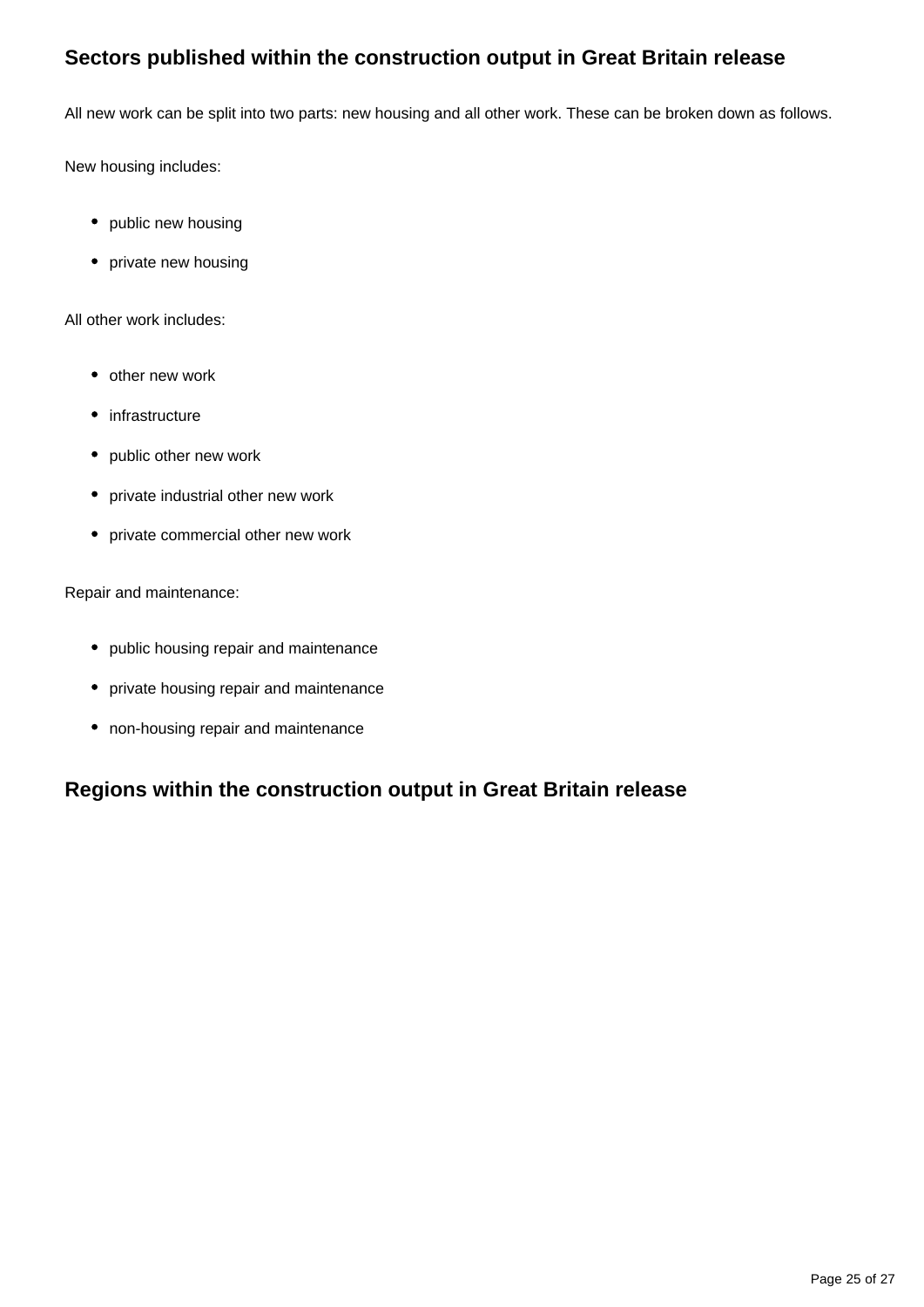# **Sectors published within the construction output in Great Britain release**

All new work can be split into two parts: new housing and all other work. These can be broken down as follows.

New housing includes:

- public new housing
- private new housing

All other work includes:

- other new work
- infrastructure
- public other new work
- private industrial other new work
- private commercial other new work

Repair and maintenance:

- public housing repair and maintenance
- private housing repair and maintenance
- non-housing repair and maintenance

# **Regions within the construction output in Great Britain release**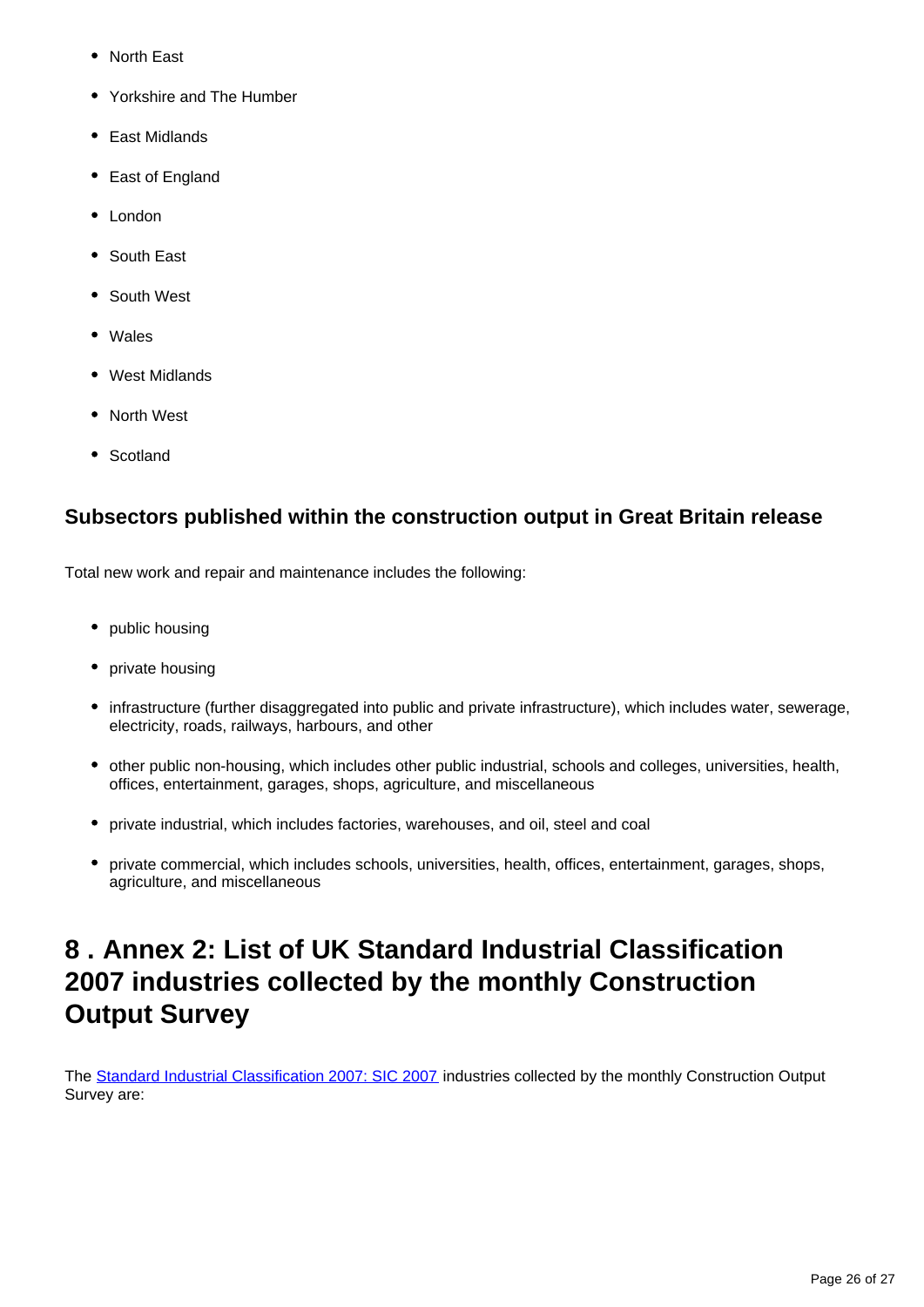- North East
- Yorkshire and The Humber
- East Midlands
- East of England
- London
- South East
- South West
- Wales
- West Midlands
- North West
- Scotland

# **Subsectors published within the construction output in Great Britain release**

Total new work and repair and maintenance includes the following:

- public housing
- private housing
- infrastructure (further disaggregated into public and private infrastructure), which includes water, sewerage, electricity, roads, railways, harbours, and other
- other public non-housing, which includes other public industrial, schools and colleges, universities, health, offices, entertainment, garages, shops, agriculture, and miscellaneous
- private industrial, which includes factories, warehouses, and oil, steel and coal
- private commercial, which includes schools, universities, health, offices, entertainment, garages, shops, agriculture, and miscellaneous

# <span id="page-25-0"></span>**8 . Annex 2: List of UK Standard Industrial Classification 2007 industries collected by the monthly Construction Output Survey**

The [Standard Industrial Classification 2007: SIC 2007](https://www.ons.gov.uk/methodology/classificationsandstandards/ukstandardindustrialclassificationofeconomicactivities/uksic2007) industries collected by the monthly Construction Output Survey are: